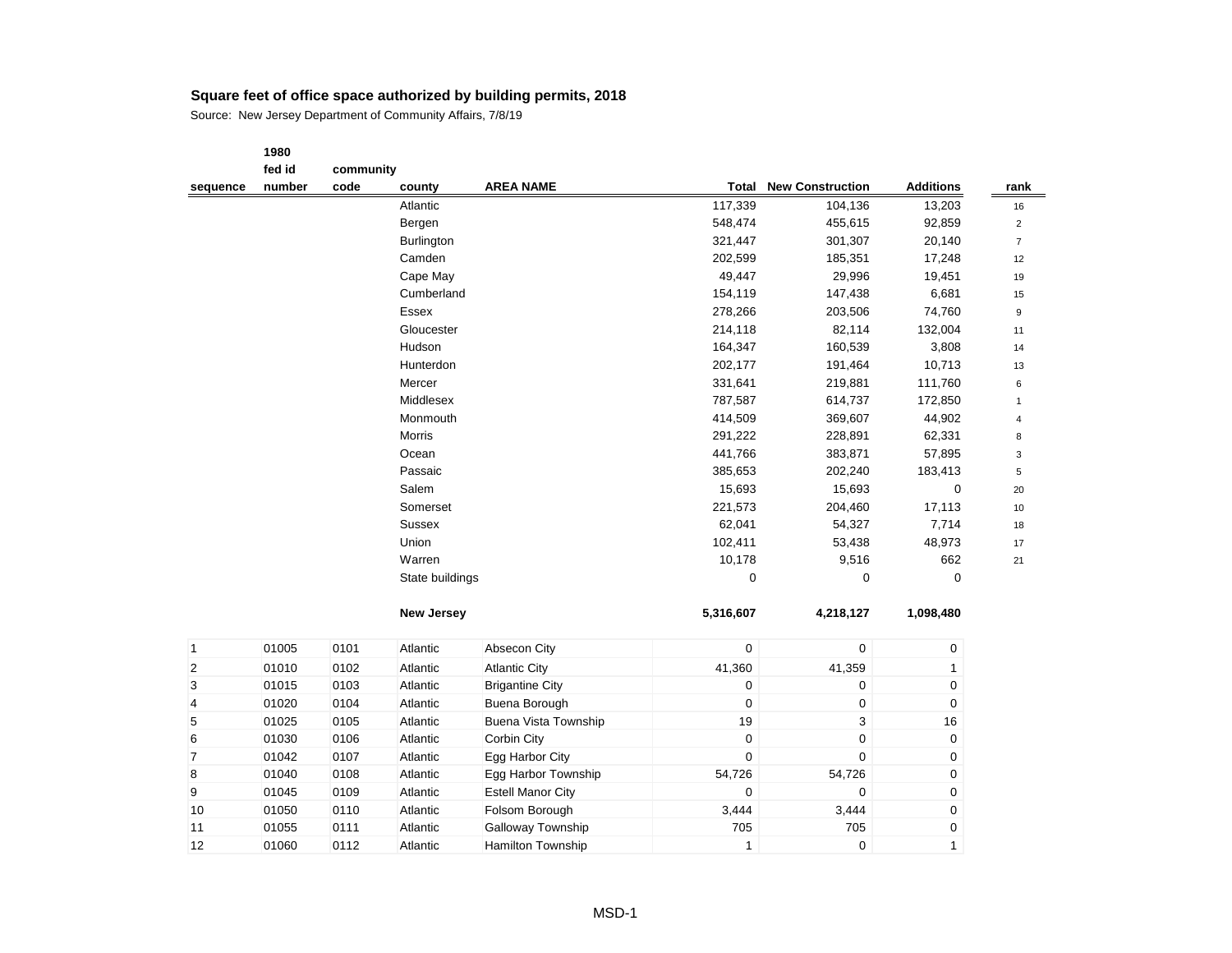|              | 1980   |           |                   |                          |                  |                           |                  |                |
|--------------|--------|-----------|-------------------|--------------------------|------------------|---------------------------|------------------|----------------|
|              | fed id | community |                   |                          |                  |                           |                  |                |
| sequence     | number | code      | county            | <b>AREA NAME</b>         | Total            | <b>New Construction</b>   | <b>Additions</b> | rank           |
|              |        |           | Atlantic          |                          | 117,339          | 104,136                   | 13,203           | 16             |
|              |        |           | Bergen            |                          | 548,474          | 455,615                   | 92,859           | $\overline{2}$ |
|              |        |           | Burlington        |                          | 321,447          | 301,307                   | 20,140           | $\overline{7}$ |
|              |        |           | Camden            |                          | 202,599          | 185,351                   | 17,248           | 12             |
|              |        |           | Cape May          |                          | 49,447           | 29,996                    | 19,451           | 19             |
|              |        |           | Cumberland        |                          | 154,119          | 147,438                   | 6,681            | 15             |
|              |        |           | <b>Essex</b>      |                          | 278,266          | 203,506                   | 74,760           | 9              |
|              |        |           | Gloucester        |                          | 214,118          | 82,114                    | 132,004          | 11             |
|              |        |           | Hudson            |                          | 164,347          | 160,539                   | 3,808            | 14             |
|              |        |           | Hunterdon         |                          | 202,177          | 191,464                   | 10,713           | 13             |
|              |        |           | Mercer            |                          | 331,641          | 219,881                   | 111,760          | 6              |
|              |        |           | Middlesex         |                          | 787,587          | 614,737                   | 172,850          | $\mathbf{1}$   |
|              |        |           | Monmouth          |                          | 414,509          | 369,607                   | 44,902           | $\overline{4}$ |
|              |        |           | Morris            |                          | 291,222          | 228,891                   | 62,331           | 8              |
|              |        |           | Ocean             |                          | 441,766          | 383,871                   | 57,895           | 3              |
|              |        |           | Passaic           |                          | 385,653          | 202,240                   | 183,413          | 5              |
|              |        |           | Salem             |                          | 15,693           | 15,693                    | $\boldsymbol{0}$ | 20             |
|              |        |           | Somerset          |                          | 221,573          | 204,460                   | 17,113           | 10             |
|              |        |           | <b>Sussex</b>     |                          | 62,041           | 54,327                    | 7,714            | 18             |
|              |        |           | Union             |                          | 102,411          | 53,438                    | 48,973           | 17             |
|              |        |           | Warren            |                          | 10,178           | 9,516                     | 662              | 21             |
|              |        |           | State buildings   |                          | 0                | 0                         | $\mathbf 0$      |                |
|              |        |           | <b>New Jersey</b> |                          | 5,316,607        | 4,218,127                 | 1,098,480        |                |
| $\mathbf{1}$ | 01005  | 0101      | Atlantic          | Absecon City             | $\mathbf 0$      | $\pmb{0}$                 | 0                |                |
| 2            | 01010  | 0102      | Atlantic          | <b>Atlantic City</b>     | 41,360           | 41,359                    | $\mathbf{1}$     |                |
| 3            | 01015  | 0103      | Atlantic          | <b>Brigantine City</b>   | $\mathbf 0$      | 0                         | 0                |                |
| 4            | 01020  | 0104      | Atlantic          | Buena Borough            | $\mathbf 0$      | $\pmb{0}$                 | 0                |                |
| 5            | 01025  | 0105      | Atlantic          | Buena Vista Township     | 19               | $\ensuremath{\mathsf{3}}$ | 16               |                |
| 6            | 01030  | 0106      | Atlantic          | Corbin City              | $\boldsymbol{0}$ | $\boldsymbol{0}$          | 0                |                |
| 7            | 01042  | 0107      | Atlantic          | Egg Harbor City          | $\mathbf 0$      | $\boldsymbol{0}$          | 0                |                |
| 8            | 01040  | 0108      | Atlantic          | Egg Harbor Township      | 54,726           | 54,726                    | 0                |                |
| 9            | 01045  | 0109      | Atlantic          | <b>Estell Manor City</b> | $\mathbf 0$      | $\mathbf 0$               | 0                |                |
| 10           | 01050  | 0110      | Atlantic          | Folsom Borough           | 3,444            | 3,444                     | 0                |                |
| 11           | 01055  | 0111      | Atlantic          | Galloway Township        | 705              | 705                       | 0                |                |
| 12           | 01060  | 0112      | Atlantic          | <b>Hamilton Township</b> | $\mathbf{1}$     | $\pmb{0}$                 | $\mathbf{1}$     |                |
|              |        |           |                   |                          |                  |                           |                  |                |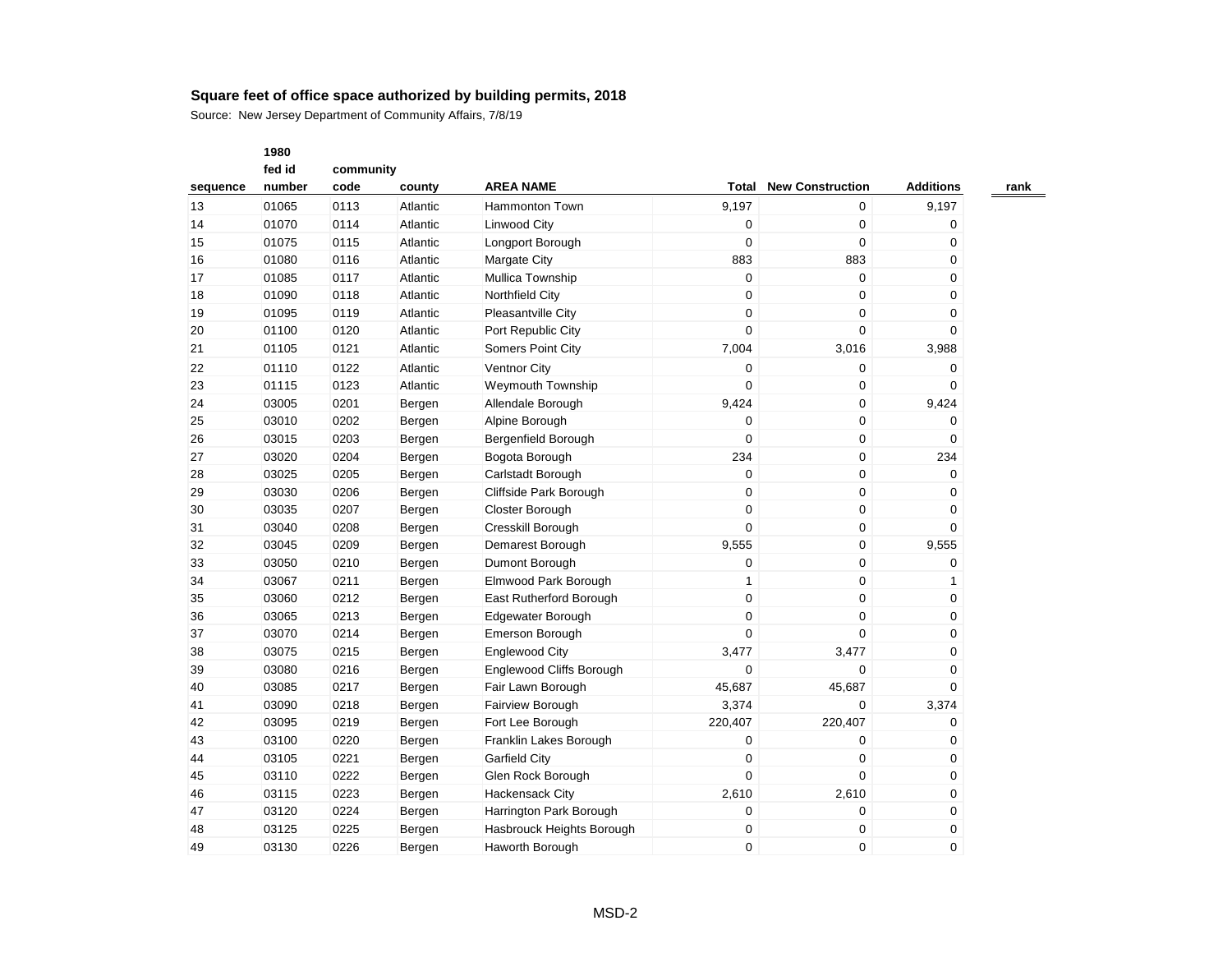|          | 1980   |           |          |                           |                  |                         |                  |
|----------|--------|-----------|----------|---------------------------|------------------|-------------------------|------------------|
|          | fed id | community |          |                           |                  |                         |                  |
| sequence | number | code      | county   | <b>AREA NAME</b>          | Total            | <b>New Construction</b> | <b>Additions</b> |
| 13       | 01065  | 0113      | Atlantic | Hammonton Town            | 9,197            | $\pmb{0}$               | 9,197            |
| 14       | 01070  | 0114      | Atlantic | <b>Linwood City</b>       | $\boldsymbol{0}$ | $\mathbf 0$             | 0                |
| 15       | 01075  | 0115      | Atlantic | Longport Borough          | $\boldsymbol{0}$ | $\mathbf 0$             | $\mathbf 0$      |
| 16       | 01080  | 0116      | Atlantic | <b>Margate City</b>       | 883              | 883                     | 0                |
| 17       | 01085  | 0117      | Atlantic | Mullica Township          | $\boldsymbol{0}$ | $\pmb{0}$               | 0                |
| 18       | 01090  | 0118      | Atlantic | Northfield City           | $\mathbf 0$      | $\mathbf 0$             | 0                |
| 19       | 01095  | 0119      | Atlantic | Pleasantville City        | $\mathbf 0$      | $\mathbf 0$             | 0                |
| 20       | 01100  | 0120      | Atlantic | Port Republic City        | $\mathbf 0$      | $\Omega$                | 0                |
| 21       | 01105  | 0121      | Atlantic | Somers Point City         | 7,004            | 3,016                   | 3,988            |
| 22       | 01110  | 0122      | Atlantic | Ventnor City              | $\mathbf 0$      | $\mathbf 0$             | $\mathbf 0$      |
| 23       | 01115  | 0123      | Atlantic | Weymouth Township         | $\mathbf 0$      | $\pmb{0}$               | $\mathbf 0$      |
| 24       | 03005  | 0201      | Bergen   | Allendale Borough         | 9,424            | $\pmb{0}$               | 9,424            |
| 25       | 03010  | 0202      | Bergen   | Alpine Borough            | 0                | 0                       | 0                |
| 26       | 03015  | 0203      | Bergen   | Bergenfield Borough       | $\mathbf 0$      | $\pmb{0}$               | $\mathbf 0$      |
| 27       | 03020  | 0204      | Bergen   | Bogota Borough            | 234              | $\pmb{0}$               | 234              |
| 28       | 03025  | 0205      | Bergen   | Carlstadt Borough         | $\mathbf 0$      | $\mathbf 0$             | $\mathbf 0$      |
| 29       | 03030  | 0206      | Bergen   | Cliffside Park Borough    | $\boldsymbol{0}$ | $\mathbf 0$             | 0                |
| 30       | 03035  | 0207      | Bergen   | Closter Borough           | $\mathbf 0$      | $\mathbf 0$             | $\mathbf 0$      |
| 31       | 03040  | 0208      | Bergen   | Cresskill Borough         | $\mathbf 0$      | 0                       | $\mathbf 0$      |
| 32       | 03045  | 0209      | Bergen   | Demarest Borough          | 9,555            | $\pmb{0}$               | 9,555            |
| 33       | 03050  | 0210      | Bergen   | Dumont Borough            | 0                | $\pmb{0}$               | 0                |
| 34       | 03067  | 0211      | Bergen   | Elmwood Park Borough      | $\mathbf{1}$     | $\pmb{0}$               | 1                |
| 35       | 03060  | 0212      | Bergen   | East Rutherford Borough   | $\mathbf 0$      | $\mathbf 0$             | 0                |
| 36       | 03065  | 0213      | Bergen   | Edgewater Borough         | $\mathbf 0$      | $\mathbf 0$             | 0                |
| 37       | 03070  | 0214      | Bergen   | Emerson Borough           | $\Omega$         | $\Omega$                | 0                |
| 38       | 03075  | 0215      | Bergen   | <b>Englewood City</b>     | 3,477            | 3,477                   | 0                |
| 39       | 03080  | 0216      | Bergen   | Englewood Cliffs Borough  | $\mathbf 0$      | $\mathbf 0$             | $\mathbf 0$      |
| 40       | 03085  | 0217      | Bergen   | Fair Lawn Borough         | 45,687           | 45,687                  | $\mathbf 0$      |
| 41       | 03090  | 0218      | Bergen   | Fairview Borough          | 3,374            | $\mathbf 0$             | 3,374            |
| 42       | 03095  | 0219      | Bergen   | Fort Lee Borough          | 220,407          | 220,407                 | 0                |
| 43       | 03100  | 0220      | Bergen   | Franklin Lakes Borough    | $\mathbf 0$      | $\mathbf 0$             | 0                |
| 44       | 03105  | 0221      | Bergen   | <b>Garfield City</b>      | 0                | $\mathbf 0$             | 0                |
| 45       | 03110  | 0222      | Bergen   | Glen Rock Borough         | $\Omega$         | $\Omega$                | $\mathbf 0$      |
| 46       | 03115  | 0223      | Bergen   | <b>Hackensack City</b>    | 2,610            | 2,610                   | 0                |
| 47       | 03120  | 0224      | Bergen   | Harrington Park Borough   | 0                | $\mathbf 0$             | $\mathbf 0$      |
| 48       | 03125  | 0225      | Bergen   | Hasbrouck Heights Borough | 0                | $\mathbf 0$             | 0                |
| 49       | 03130  | 0226      | Bergen   | <b>Haworth Borough</b>    | $\Omega$         | $\Omega$                | $\Omega$         |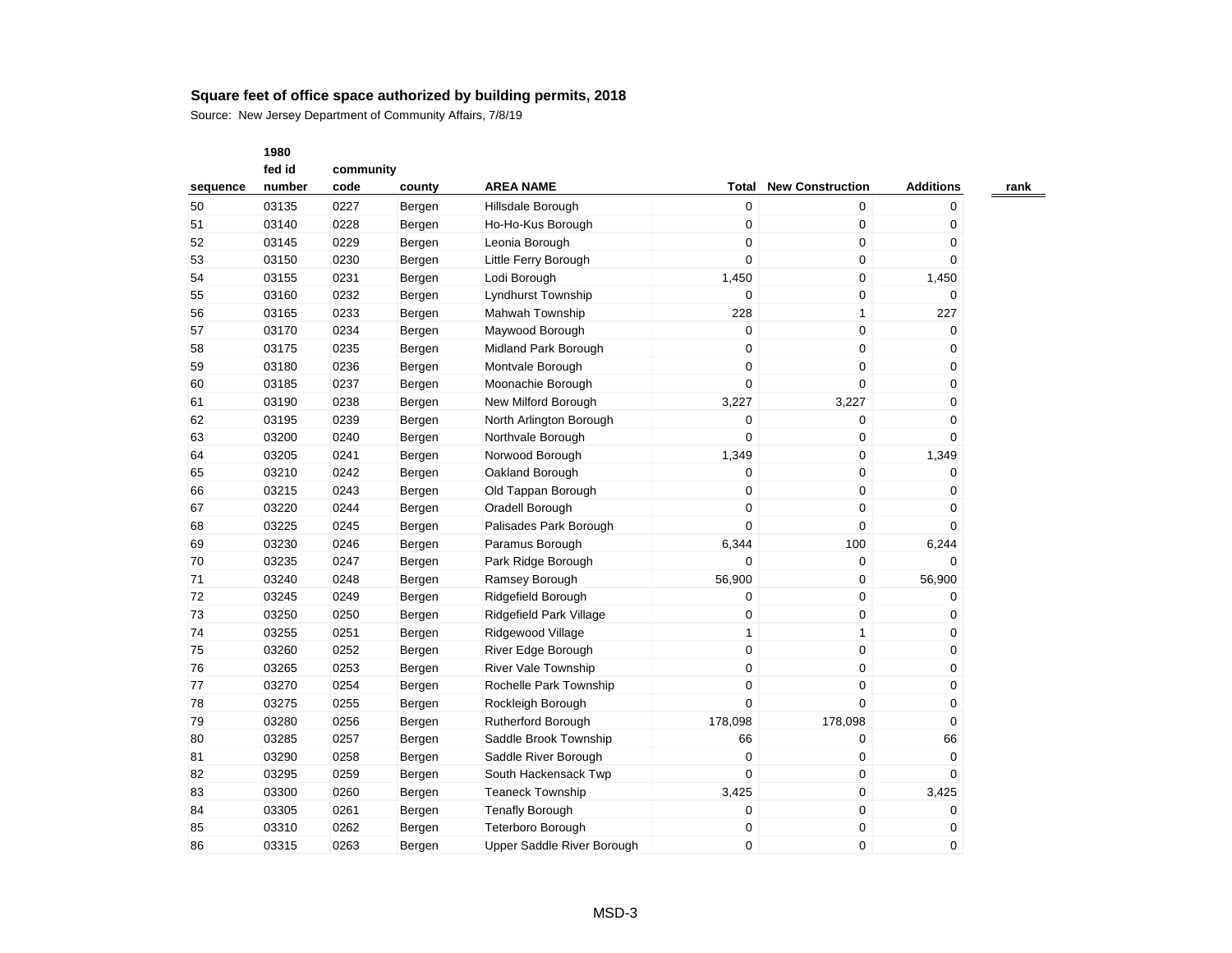Source: New Jersey Department of Community Affairs, 7/8/19

|          | fed id |      | community |                            |              |                         |                  |  |  |  |
|----------|--------|------|-----------|----------------------------|--------------|-------------------------|------------------|--|--|--|
| sequence | number | code | county    | <b>AREA NAME</b>           | Total        | <b>New Construction</b> | <b>Additions</b> |  |  |  |
| 50       | 03135  | 0227 | Bergen    | Hillsdale Borough          | 0            | 0                       | 0                |  |  |  |
| 51       | 03140  | 0228 | Bergen    | Ho-Ho-Kus Borough          | $\mathbf 0$  | 0                       | 0                |  |  |  |
| 52       | 03145  | 0229 | Bergen    | Leonia Borough             | 0            | $\pmb{0}$               | 0                |  |  |  |
| 53       | 03150  | 0230 | Bergen    | Little Ferry Borough       | 0            | 0                       | 0                |  |  |  |
| 54       | 03155  | 0231 | Bergen    | Lodi Borough               | 1,450        | 0                       | 1,450            |  |  |  |
| 55       | 03160  | 0232 | Bergen    | Lyndhurst Township         | 0            | 0                       | 0                |  |  |  |
| 56       | 03165  | 0233 | Bergen    | Mahwah Township            | 228          | $\mathbf{1}$            | 227              |  |  |  |
| 57       | 03170  | 0234 | Bergen    | Maywood Borough            | $\mathbf 0$  | $\mathbf 0$             | $\mathbf 0$      |  |  |  |
| 58       | 03175  | 0235 | Bergen    | Midland Park Borough       | $\mathbf 0$  | 0                       | 0                |  |  |  |
| 59       | 03180  | 0236 | Bergen    | Montvale Borough           | 0            | $\mathbf 0$             | 0                |  |  |  |
| 60       | 03185  | 0237 | Bergen    | Moonachie Borough          | 0            | 0                       | 0                |  |  |  |
| 61       | 03190  | 0238 | Bergen    | New Milford Borough        | 3,227        | 3,227                   | 0                |  |  |  |
| 62       | 03195  | 0239 | Bergen    | North Arlington Borough    | 0            | 0                       | 0                |  |  |  |
| 63       | 03200  | 0240 | Bergen    | Northvale Borough          | 0            | 0                       | 0                |  |  |  |
| 64       | 03205  | 0241 | Bergen    | Norwood Borough            | 1,349        | $\pmb{0}$               | 1,349            |  |  |  |
| 65       | 03210  | 0242 | Bergen    | Oakland Borough            | 0            | 0                       | 0                |  |  |  |
| 66       | 03215  | 0243 | Bergen    | Old Tappan Borough         | 0            | 0                       | 0                |  |  |  |
| 67       | 03220  | 0244 | Bergen    | Oradell Borough            | 0            | $\mathbf 0$             | 0                |  |  |  |
| 68       | 03225  | 0245 | Bergen    | Palisades Park Borough     | $\Omega$     | 0                       | 0                |  |  |  |
| 69       | 03230  | 0246 | Bergen    | Paramus Borough            | 6,344        | 100                     | 6,244            |  |  |  |
| 70       | 03235  | 0247 | Bergen    | Park Ridge Borough         | $\Omega$     | 0                       | $\Omega$         |  |  |  |
| 71       | 03240  | 0248 | Bergen    | Ramsey Borough             | 56,900       | $\pmb{0}$               | 56,900           |  |  |  |
| 72       | 03245  | 0249 | Bergen    | Ridgefield Borough         | 0            | 0                       | 0                |  |  |  |
| 73       | 03250  | 0250 | Bergen    | Ridgefield Park Village    | 0            | 0                       | 0                |  |  |  |
| 74       | 03255  | 0251 | Bergen    | Ridgewood Village          | $\mathbf{1}$ | $\mathbf{1}$            | 0                |  |  |  |
| 75       | 03260  | 0252 | Bergen    | River Edge Borough         | $\mathbf 0$  | 0                       | 0                |  |  |  |
| 76       | 03265  | 0253 | Bergen    | <b>River Vale Township</b> | 0            | $\pmb{0}$               | 0                |  |  |  |
| 77       | 03270  | 0254 | Bergen    | Rochelle Park Township     | 0            | $\mathbf 0$             | 0                |  |  |  |
| 78       | 03275  | 0255 | Bergen    | Rockleigh Borough          | $\Omega$     | $\Omega$                | 0                |  |  |  |
| 79       | 03280  | 0256 | Bergen    | Rutherford Borough         | 178,098      | 178,098                 | 0                |  |  |  |
| 80       | 03285  | 0257 | Bergen    | Saddle Brook Township      | 66           | $\mathbf 0$             | 66               |  |  |  |
| 81       | 03290  | 0258 | Bergen    | Saddle River Borough       | $\mathbf 0$  | 0                       | $\mathbf 0$      |  |  |  |
| 82       | 03295  | 0259 | Bergen    | South Hackensack Twp       | 0            | 0                       | 0                |  |  |  |
| 83       | 03300  | 0260 | Bergen    | <b>Teaneck Township</b>    | 3,425        | $\mathbf 0$             | 3,425            |  |  |  |
| 84       | 03305  | 0261 | Bergen    | <b>Tenafly Borough</b>     | 0            | 0                       | 0                |  |  |  |
| 85       | 03310  | 0262 | Bergen    | Teterboro Borough          | 0            | $\pmb{0}$               | 0                |  |  |  |
| 86       | 03315  | 0263 | Bergen    | Upper Saddle River Borough | $\Omega$     | 0                       | 0                |  |  |  |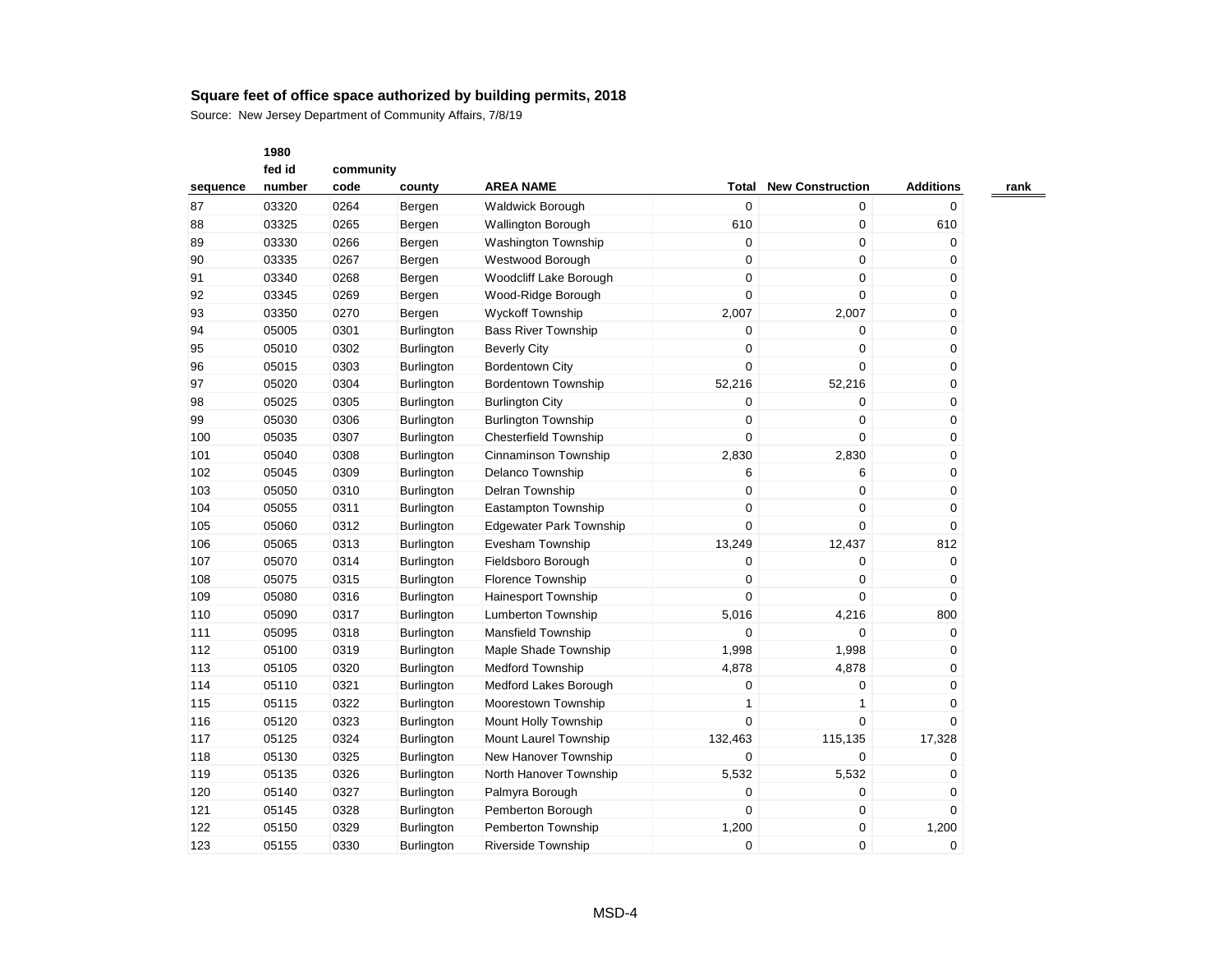|          | 1980   |           |                   |                                |                  |                         |                  |
|----------|--------|-----------|-------------------|--------------------------------|------------------|-------------------------|------------------|
|          | fed id | community |                   |                                |                  |                         |                  |
| sequence | number | code      | county            | <b>AREA NAME</b>               | Total            | <b>New Construction</b> | <b>Additions</b> |
| 87       | 03320  | 0264      | Bergen            | <b>Waldwick Borough</b>        | $\mathbf 0$      | 0                       | 0                |
| 88       | 03325  | 0265      | Bergen            | <b>Wallington Borough</b>      | 610              | 0                       | 610              |
| 89       | 03330  | 0266      | Bergen            | Washington Township            | $\boldsymbol{0}$ | 0                       | 0                |
| 90       | 03335  | 0267      | Bergen            | Westwood Borough               | $\mathbf 0$      | 0                       | 0                |
| 91       | 03340  | 0268      | Bergen            | Woodcliff Lake Borough         | 0                | 0                       | 0                |
| 92       | 03345  | 0269      | Bergen            | Wood-Ridge Borough             | 0                | 0                       | 0                |
| 93       | 03350  | 0270      | Bergen            | <b>Wyckoff Township</b>        | 2,007            | 2,007                   | 0                |
| 94       | 05005  | 0301      | <b>Burlington</b> | <b>Bass River Township</b>     | 0                | 0                       | 0                |
| 95       | 05010  | 0302      | Burlington        | <b>Beverly City</b>            | $\mathbf 0$      | 0                       | 0                |
| 96       | 05015  | 0303      | Burlington        | <b>Bordentown City</b>         | 0                | 0                       | 0                |
| 97       | 05020  | 0304      | <b>Burlington</b> | <b>Bordentown Township</b>     | 52,216           | 52,216                  | 0                |
| 98       | 05025  | 0305      | Burlington        | <b>Burlington City</b>         | 0                | 0                       | 0                |
| 99       | 05030  | 0306      | Burlington        | <b>Burlington Township</b>     | 0                | 0                       | 0                |
| 100      | 05035  | 0307      | <b>Burlington</b> | <b>Chesterfield Township</b>   | $\mathbf 0$      | 0                       | 0                |
| 101      | 05040  | 0308      | <b>Burlington</b> | Cinnaminson Township           | 2,830            | 2,830                   | 0                |
| 102      | 05045  | 0309      | <b>Burlington</b> | Delanco Township               | 6                | 6                       | 0                |
| 103      | 05050  | 0310      | Burlington        | Delran Township                | 0                | 0                       | 0                |
| 104      | 05055  | 0311      | <b>Burlington</b> | Eastampton Township            | 0                | 0                       | 0                |
| 105      | 05060  | 0312      | Burlington        | <b>Edgewater Park Township</b> | $\mathbf 0$      | 0                       | 0                |
| 106      | 05065  | 0313      | Burlington        | Evesham Township               | 13,249           | 12,437                  | 812              |
| 107      | 05070  | 0314      | <b>Burlington</b> | Fieldsboro Borough             | 0                | 0                       | 0                |
| 108      | 05075  | 0315      | <b>Burlington</b> | Florence Township              | $\mathbf 0$      | 0                       | 0                |
| 109      | 05080  | 0316      | Burlington        | <b>Hainesport Township</b>     | 0                | $\mathbf 0$             | 0                |
| 110      | 05090  | 0317      | Burlington        | <b>Lumberton Township</b>      | 5,016            | 4,216                   | 800              |
| 111      | 05095  | 0318      | Burlington        | Mansfield Township             | 0                | 0                       | 0                |
| 112      | 05100  | 0319      | Burlington        | Maple Shade Township           | 1,998            | 1,998                   | 0                |
| 113      | 05105  | 0320      | Burlington        | <b>Medford Township</b>        | 4,878            | 4,878                   | 0                |
| 114      | 05110  | 0321      | Burlington        | Medford Lakes Borough          | 0                | 0                       | 0                |
| 115      | 05115  | 0322      | <b>Burlington</b> | Moorestown Township            | 1                | $\mathbf{1}$            | 0                |
| 116      | 05120  | 0323      | Burlington        | Mount Holly Township           | $\overline{0}$   | $\Omega$                | $\Omega$         |
| 117      | 05125  | 0324      | <b>Burlington</b> | Mount Laurel Township          | 132,463          | 115,135                 | 17,328           |
| 118      | 05130  | 0325      | Burlington        | New Hanover Township           | 0                | 0                       | 0                |
| 119      | 05135  | 0326      | Burlington        | North Hanover Township         | 5,532            | 5,532                   | 0                |
| 120      | 05140  | 0327      | Burlington        | Palmyra Borough                | 0                | 0                       | 0                |
| 121      | 05145  | 0328      | <b>Burlington</b> | Pemberton Borough              | 0                | 0                       | 0                |
| 122      | 05150  | 0329      | <b>Burlington</b> | Pemberton Township             | 1,200            | 0                       | 1,200            |
| 123      | 05155  | 0330      | <b>Burlington</b> | <b>Riverside Township</b>      | $\Omega$         | $\Omega$                | $\Omega$         |
|          |        |           |                   |                                |                  |                         |                  |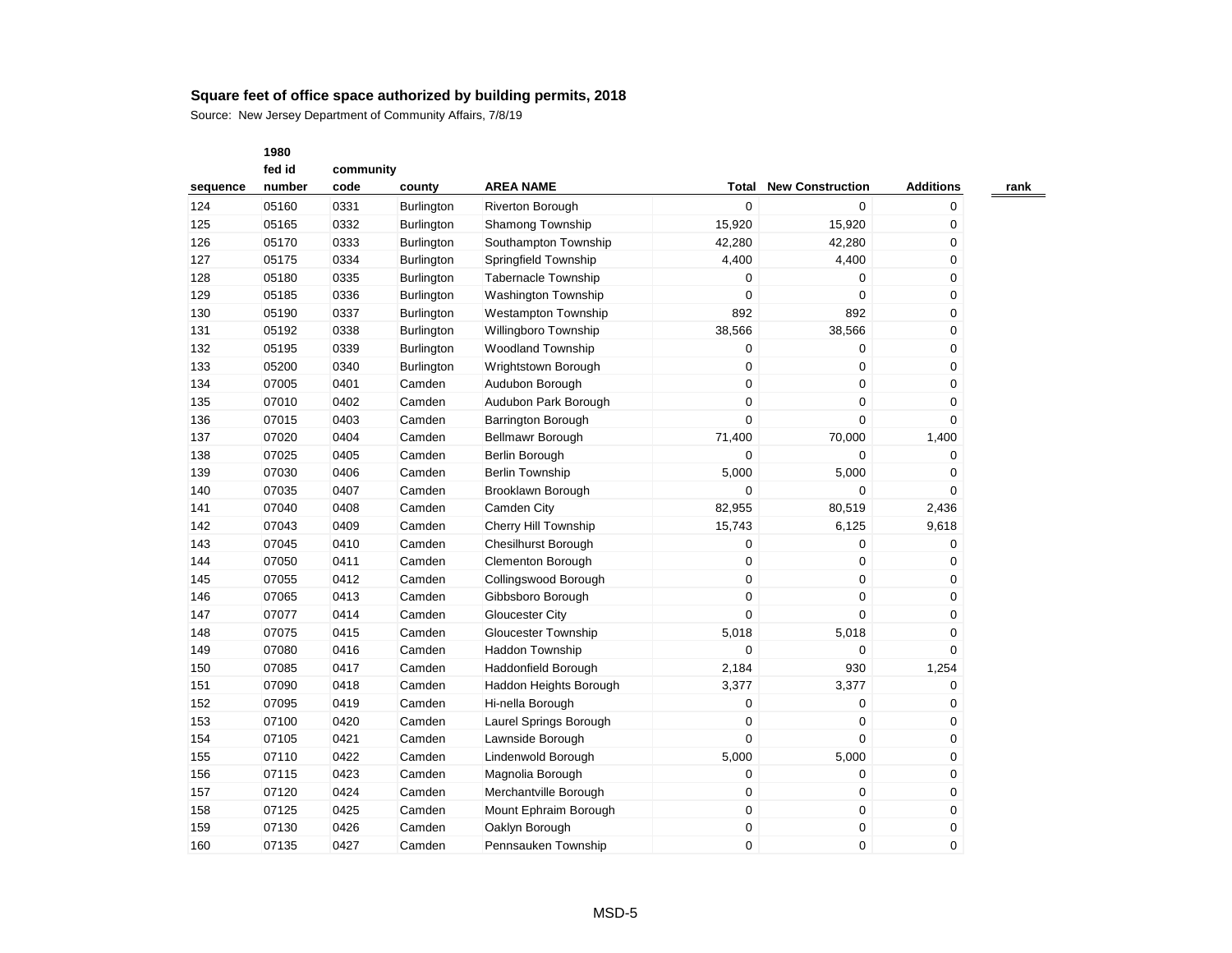|          | 1980   |           |                   |                             |                  |                         |                  |
|----------|--------|-----------|-------------------|-----------------------------|------------------|-------------------------|------------------|
|          | fed id | community |                   |                             |                  |                         |                  |
| sequence | number | code      | county            | <b>AREA NAME</b>            | Total            | <b>New Construction</b> | <b>Additions</b> |
| 124      | 05160  | 0331      | Burlington        | <b>Riverton Borough</b>     | $\mathbf 0$      | 0                       | 0                |
| 125      | 05165  | 0332      | Burlington        | Shamong Township            | 15,920           | 15,920                  | $\mathbf 0$      |
| 126      | 05170  | 0333      | <b>Burlington</b> | Southampton Township        | 42,280           | 42,280                  | 0                |
| 127      | 05175  | 0334      | Burlington        | Springfield Township        | 4,400            | 4,400                   | 0                |
| 128      | 05180  | 0335      | Burlington        | <b>Tabernacle Township</b>  | 0                | 0                       | 0                |
| 129      | 05185  | 0336      | Burlington        | <b>Washington Township</b>  | 0                | 0                       | 0                |
| 130      | 05190  | 0337      | Burlington        | <b>Westampton Township</b>  | 892              | 892                     | 0                |
| 131      | 05192  | 0338      | Burlington        | Willingboro Township        | 38,566           | 38,566                  | 0                |
| 132      | 05195  | 0339      | Burlington        | <b>Woodland Township</b>    | 0                | 0                       | 0                |
| 133      | 05200  | 0340      | Burlington        | Wrightstown Borough         | 0                | 0                       | 0                |
| 134      | 07005  | 0401      | Camden            | Audubon Borough             | 0                | 0                       | $\mathbf 0$      |
| 135      | 07010  | 0402      | Camden            | Audubon Park Borough        | $\mathbf 0$      | 0                       | 0                |
| 136      | 07015  | 0403      | Camden            | Barrington Borough          | $\mathbf 0$      | 0                       | 0                |
| 137      | 07020  | 0404      | Camden            | Bellmawr Borough            | 71,400           | 70,000                  | 1,400            |
| 138      | 07025  | 0405      | Camden            | Berlin Borough              | $\mathbf 0$      | 0                       | 0                |
| 139      | 07030  | 0406      | Camden            | <b>Berlin Township</b>      | 5,000            | 5,000                   | 0                |
| 140      | 07035  | 0407      | Camden            | Brooklawn Borough           | 0                | 0                       | 0                |
| 141      | 07040  | 0408      | Camden            | Camden City                 | 82,955           | 80,519                  | 2,436            |
| 142      | 07043  | 0409      | Camden            | <b>Cherry Hill Township</b> | 15,743           | 6,125                   | 9,618            |
| 143      | 07045  | 0410      | Camden            | <b>Chesilhurst Borough</b>  | 0                | 0                       | 0                |
| 144      | 07050  | 0411      | Camden            | <b>Clementon Borough</b>    | 0                | 0                       | 0                |
| 145      | 07055  | 0412      | Camden            | Collingswood Borough        | $\mathbf 0$      | 0                       | $\mathbf 0$      |
| 146      | 07065  | 0413      | Camden            | Gibbsboro Borough           | 0                | 0                       | 0                |
| 147      | 07077  | 0414      | Camden            | Gloucester City             | $\Omega$         | $\Omega$                | 0                |
| 148      | 07075  | 0415      | Camden            | Gloucester Township         | 5,018            | 5,018                   | 0                |
| 149      | 07080  | 0416      | Camden            | Haddon Township             | 0                | 0                       | $\Omega$         |
| 150      | 07085  | 0417      | Camden            | Haddonfield Borough         | 2,184            | 930                     | 1,254            |
| 151      | 07090  | 0418      | Camden            | Haddon Heights Borough      | 3,377            | 3,377                   | 0                |
| 152      | 07095  | 0419      | Camden            | Hi-nella Borough            | 0                | 0                       | 0                |
| 153      | 07100  | 0420      | Camden            | Laurel Springs Borough      | $\boldsymbol{0}$ | 0                       | 0                |
| 154      | 07105  | 0421      | Camden            | Lawnside Borough            | 0                | 0                       | 0                |
| 155      | 07110  | 0422      | Camden            | Lindenwold Borough          | 5,000            | 5,000                   | 0                |
| 156      | 07115  | 0423      | Camden            | Magnolia Borough            | $\mathbf 0$      | 0                       | 0                |
| 157      | 07120  | 0424      | Camden            | Merchantville Borough       | $\boldsymbol{0}$ | 0                       | $\mathbf 0$      |
| 158      | 07125  | 0425      | Camden            | Mount Ephraim Borough       | $\mathbf 0$      | 0                       | 0                |
| 159      | 07130  | 0426      | Camden            | Oaklyn Borough              | 0                | 0                       | 0                |
| 160      | 07135  | 0427      | Camden            | Pennsauken Township         | $\Omega$         | $\Omega$                | 0                |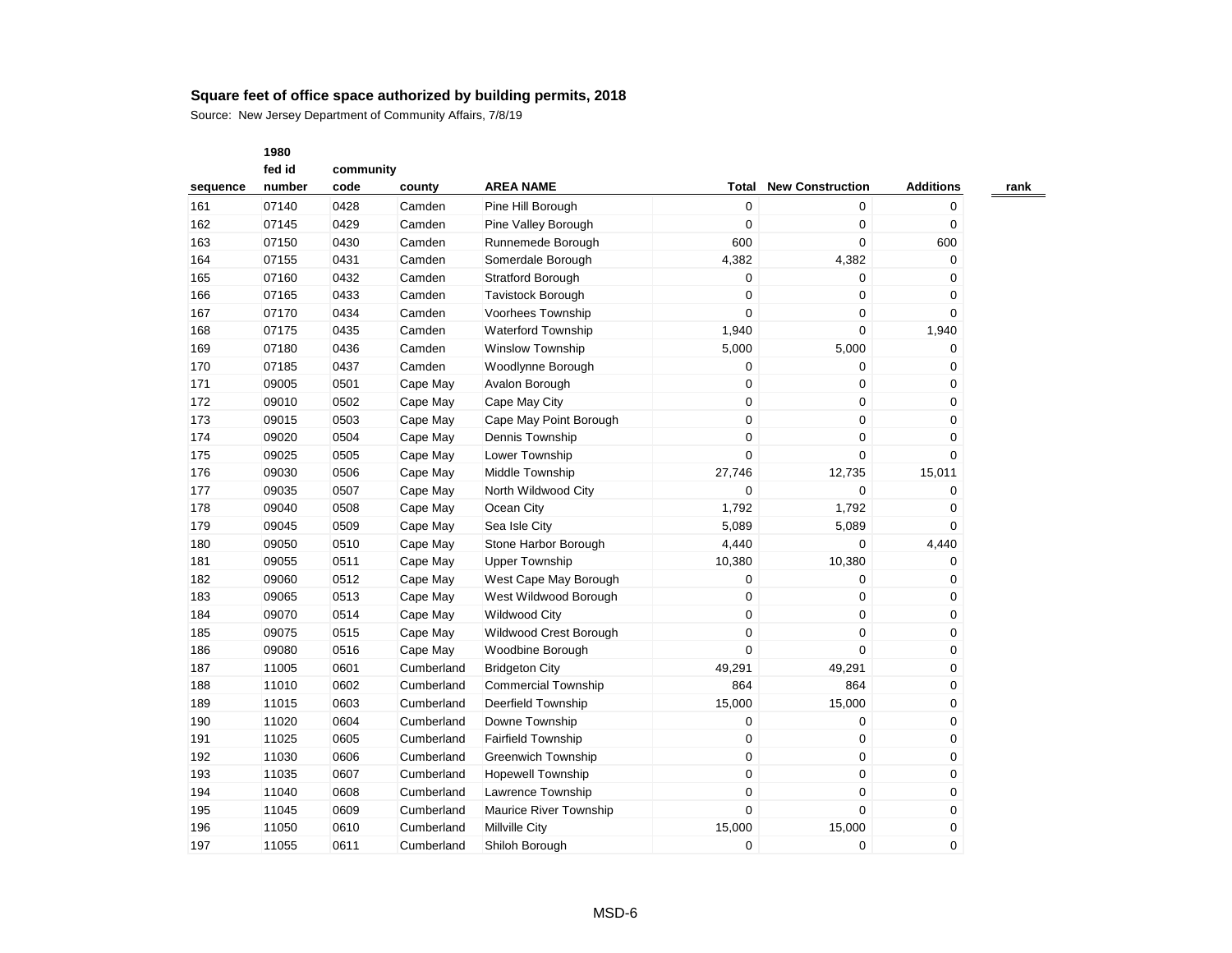|          | 1980   |           |            |                               |                |                         |                  |
|----------|--------|-----------|------------|-------------------------------|----------------|-------------------------|------------------|
|          | fed id | community |            |                               |                |                         |                  |
| sequence | number | code      | county     | <b>AREA NAME</b>              | Total          | <b>New Construction</b> | <b>Additions</b> |
| 161      | 07140  | 0428      | Camden     | Pine Hill Borough             | $\mathbf 0$    | $\mathbf 0$             | $\mathbf 0$      |
| 162      | 07145  | 0429      | Camden     | Pine Valley Borough           | 0              | $\mathbf 0$             | $\mathbf 0$      |
| 163      | 07150  | 0430      | Camden     | Runnemede Borough             | 600            | $\mathbf 0$             | 600              |
| 164      | 07155  | 0431      | Camden     | Somerdale Borough             | 4,382          | 4,382                   | 0                |
| 165      | 07160  | 0432      | Camden     | <b>Stratford Borough</b>      | 0              | $\mathbf 0$             | $\mathbf 0$      |
| 166      | 07165  | 0433      | Camden     | <b>Tavistock Borough</b>      | 0              | $\mathbf 0$             | 0                |
| 167      | 07170  | 0434      | Camden     | Voorhees Township             | $\Omega$       | $\mathbf 0$             | $\Omega$         |
| 168      | 07175  | 0435      | Camden     | <b>Waterford Township</b>     | 1,940          | $\mathbf 0$             | 1,940            |
| 169      | 07180  | 0436      | Camden     | <b>Winslow Township</b>       | 5,000          | 5,000                   | $\mathbf 0$      |
| 170      | 07185  | 0437      | Camden     | Woodlynne Borough             | 0              | $\mathbf 0$             | $\mathbf 0$      |
| 171      | 09005  | 0501      | Cape May   | Avalon Borough                | 0              | $\mathbf 0$             | $\mathbf 0$      |
| 172      | 09010  | 0502      | Cape May   | Cape May City                 | 0              | $\mathbf 0$             | 0                |
| 173      | 09015  | 0503      | Cape May   | Cape May Point Borough        | 0              | $\mathbf 0$             | $\mathbf 0$      |
| 174      | 09020  | 0504      | Cape May   | Dennis Township               | 0              | $\boldsymbol{0}$        | 0                |
| 175      | 09025  | 0505      | Cape May   | Lower Township                | $\overline{0}$ | $\Omega$                | $\Omega$         |
| 176      | 09030  | 0506      | Cape May   | Middle Township               | 27,746         | 12,735                  | 15,011           |
| 177      | 09035  | 0507      | Cape May   | North Wildwood City           | $\overline{0}$ | $\mathbf 0$             | $\mathbf 0$      |
| 178      | 09040  | 0508      | Cape May   | Ocean City                    | 1,792          | 1,792                   | $\mathbf 0$      |
| 179      | 09045  | 0509      | Cape May   | Sea Isle City                 | 5,089          | 5,089                   | $\Omega$         |
| 180      | 09050  | 0510      | Cape May   | Stone Harbor Borough          | 4,440          | 0                       | 4,440            |
| 181      | 09055  | 0511      | Cape May   | <b>Upper Township</b>         | 10,380         | 10,380                  | $\mathbf 0$      |
| 182      | 09060  | 0512      | Cape May   | West Cape May Borough         | 0              | $\mathbf 0$             | 0                |
| 183      | 09065  | 0513      | Cape May   | West Wildwood Borough         | 0              | $\mathbf 0$             | $\mathbf 0$      |
| 184      | 09070  | 0514      | Cape May   | <b>Wildwood City</b>          | 0              | $\mathbf 0$             | 0                |
| 185      | 09075  | 0515      | Cape May   | Wildwood Crest Borough        | 0              | $\Omega$                | $\mathbf 0$      |
| 186      | 09080  | 0516      | Cape May   | Woodbine Borough              | 0              | $\mathbf 0$             | 0                |
| 187      | 11005  | 0601      | Cumberland | <b>Bridgeton City</b>         | 49,291         | 49,291                  | $\mathbf 0$      |
| 188      | 11010  | 0602      | Cumberland | <b>Commercial Township</b>    | 864            | 864                     | 0                |
| 189      | 11015  | 0603      | Cumberland | <b>Deerfield Township</b>     | 15,000         | 15,000                  | 0                |
| 190      | 11020  | 0604      | Cumberland | Downe Township                | 0              | $\mathbf 0$             | 0                |
| 191      | 11025  | 0605      | Cumberland | <b>Fairfield Township</b>     | 0              | $\mathbf 0$             | $\mathbf 0$      |
| 192      | 11030  | 0606      | Cumberland | <b>Greenwich Township</b>     | 0              | $\mathbf 0$             | 0                |
| 193      | 11035  | 0607      | Cumberland | <b>Hopewell Township</b>      | 0              | $\mathbf 0$             | $\mathbf 0$      |
| 194      | 11040  | 0608      | Cumberland | Lawrence Township             | 0              | $\mathbf 0$             | $\mathbf 0$      |
| 195      | 11045  | 0609      | Cumberland | <b>Maurice River Township</b> | 0              | $\mathbf 0$             | $\mathbf 0$      |
| 196      | 11050  | 0610      | Cumberland | <b>Millville City</b>         | 15,000         | 15,000                  | 0                |
| 197      | 11055  | 0611      | Cumberland | Shiloh Borough                | $\Omega$       | $\Omega$                | $\mathbf 0$      |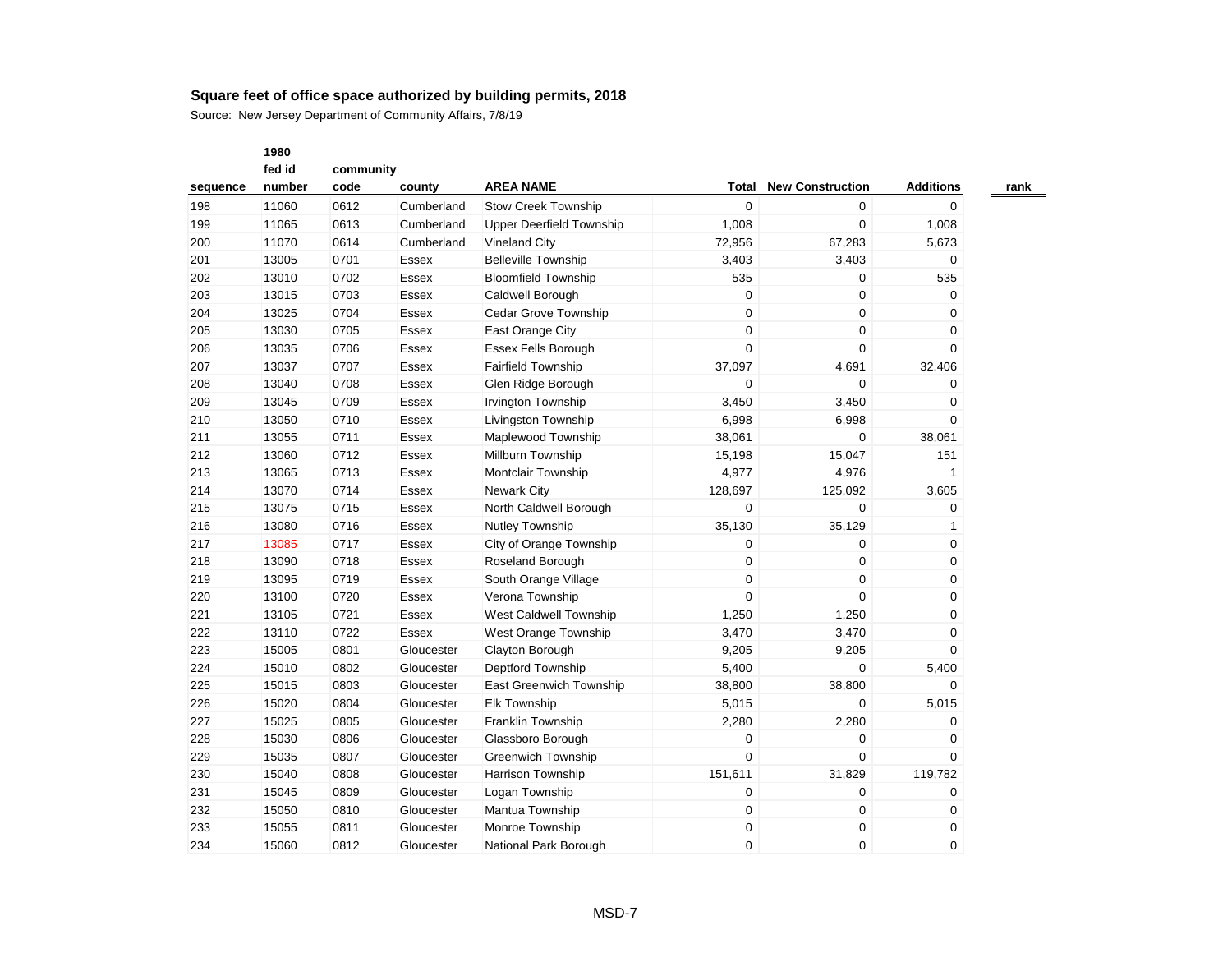Source: New Jersey Department of Community Affairs, 7/8/19

|          | fed id |      | community    |                                 |                |                         |                  |  |  |  |  |
|----------|--------|------|--------------|---------------------------------|----------------|-------------------------|------------------|--|--|--|--|
| sequence | number | code | county       | <b>AREA NAME</b>                | Total          | <b>New Construction</b> | <b>Additions</b> |  |  |  |  |
| 198      | 11060  | 0612 | Cumberland   | <b>Stow Creek Township</b>      | $\mathbf 0$    | 0                       | 0                |  |  |  |  |
| 199      | 11065  | 0613 | Cumberland   | <b>Upper Deerfield Township</b> | 1,008          | 0                       | 1,008            |  |  |  |  |
| 200      | 11070  | 0614 | Cumberland   | <b>Vineland City</b>            | 72,956         | 67,283                  | 5,673            |  |  |  |  |
| 201      | 13005  | 0701 | Essex        | <b>Belleville Township</b>      | 3,403          | 3,403                   | 0                |  |  |  |  |
| 202      | 13010  | 0702 | Essex        | <b>Bloomfield Township</b>      | 535            | 0                       | 535              |  |  |  |  |
| 203      | 13015  | 0703 | Essex        | Caldwell Borough                | 0              | 0                       | $\mathbf 0$      |  |  |  |  |
| 204      | 13025  | 0704 | <b>Essex</b> | Cedar Grove Township            | $\mathbf 0$    | 0                       | 0                |  |  |  |  |
| 205      | 13030  | 0705 | Essex        | East Orange City                | $\pmb{0}$      | 0                       | 0                |  |  |  |  |
| 206      | 13035  | 0706 | Essex        | <b>Essex Fells Borough</b>      | 0              | 0                       | 0                |  |  |  |  |
| 207      | 13037  | 0707 | Essex        | <b>Fairfield Township</b>       | 37,097         | 4,691                   | 32,406           |  |  |  |  |
| 208      | 13040  | 0708 | Essex        | Glen Ridge Borough              | $\mathbf 0$    | 0                       | 0                |  |  |  |  |
| 209      | 13045  | 0709 | Essex        | Irvington Township              | 3,450          | 3,450                   | 0                |  |  |  |  |
| 210      | 13050  | 0710 | Essex        | Livingston Township             | 6,998          | 6,998                   | $\mathbf 0$      |  |  |  |  |
| 211      | 13055  | 0711 | Essex        | Maplewood Township              | 38,061         | 0                       | 38,061           |  |  |  |  |
| 212      | 13060  | 0712 | Essex        | Millburn Township               | 15,198         | 15,047                  | 151              |  |  |  |  |
| 213      | 13065  | 0713 | Essex        | <b>Montclair Township</b>       | 4,977          | 4,976                   | 1                |  |  |  |  |
| 214      | 13070  | 0714 | Essex        | <b>Newark City</b>              | 128,697        | 125,092                 | 3,605            |  |  |  |  |
| 215      | 13075  | 0715 | Essex        | North Caldwell Borough          | 0              | 0                       | 0                |  |  |  |  |
| 216      | 13080  | 0716 | Essex        | Nutley Township                 | 35,130         | 35,129                  | 1                |  |  |  |  |
| 217      | 13085  | 0717 | Essex        | City of Orange Township         | $\mathbf 0$    | 0                       | 0                |  |  |  |  |
| 218      | 13090  | 0718 | Essex        | Roseland Borough                | $\mathbf 0$    | 0                       | 0                |  |  |  |  |
| 219      | 13095  | 0719 | Essex        | South Orange Village            | $\mathbf 0$    | 0                       | 0                |  |  |  |  |
| 220      | 13100  | 0720 | Essex        | Verona Township                 | $\mathbf 0$    | 0                       | 0                |  |  |  |  |
| 221      | 13105  | 0721 | Essex        | West Caldwell Township          | 1,250          | 1,250                   | 0                |  |  |  |  |
| 222      | 13110  | 0722 | Essex        | West Orange Township            | 3,470          | 3,470                   | 0                |  |  |  |  |
| 223      | 15005  | 0801 | Gloucester   | Clayton Borough                 | 9,205          | 9,205                   | 0                |  |  |  |  |
| 224      | 15010  | 0802 | Gloucester   | Deptford Township               | 5,400          | $\mathbf 0$             | 5,400            |  |  |  |  |
| 225      | 15015  | 0803 | Gloucester   | <b>East Greenwich Township</b>  | 38,800         | 38,800                  | $\Omega$         |  |  |  |  |
| 226      | 15020  | 0804 | Gloucester   | <b>Elk Township</b>             | 5,015          | 0                       | 5,015            |  |  |  |  |
| 227      | 15025  | 0805 | Gloucester   | Franklin Township               | 2,280          | 2,280                   | 0                |  |  |  |  |
| 228      | 15030  | 0806 | Gloucester   | Glassboro Borough               | 0              | 0                       | $\mathbf 0$      |  |  |  |  |
| 229      | 15035  | 0807 | Gloucester   | <b>Greenwich Township</b>       | $\overline{0}$ | 0                       | $\mathbf 0$      |  |  |  |  |
| 230      | 15040  | 0808 | Gloucester   | Harrison Township               | 151,611        | 31,829                  | 119,782          |  |  |  |  |
| 231      | 15045  | 0809 | Gloucester   | Logan Township                  | $\mathbf 0$    | 0                       | 0                |  |  |  |  |
| 232      | 15050  | 0810 | Gloucester   | Mantua Township                 | $\mathbf 0$    | 0                       | 0                |  |  |  |  |
| 233      | 15055  | 0811 | Gloucester   | Monroe Township                 | $\mathbf 0$    | 0                       | 0                |  |  |  |  |
| 234      | 15060  | 0812 | Gloucester   | National Park Borough           | 0              | 0                       | $\mathbf 0$      |  |  |  |  |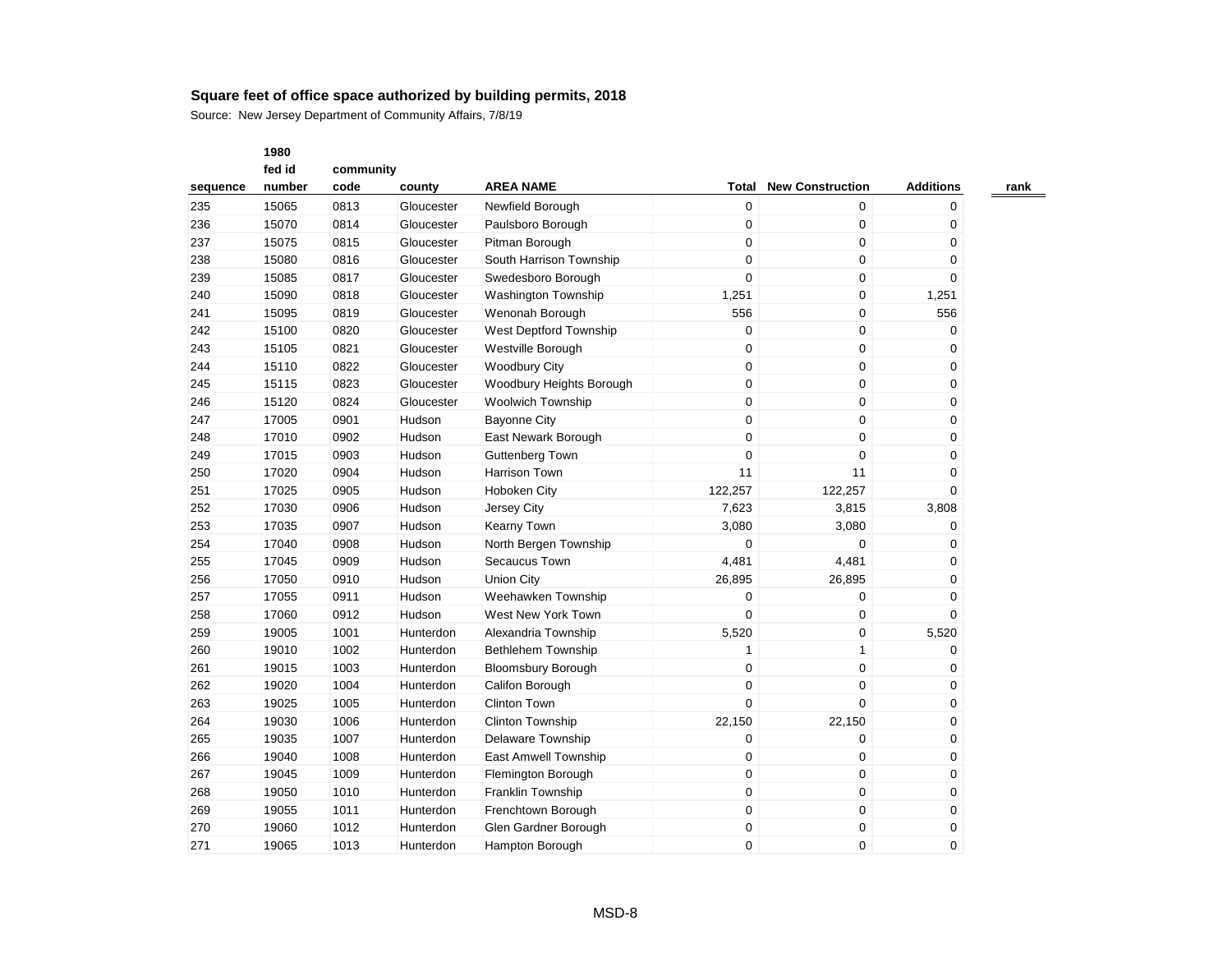|          | 1980   |           |            |                            |                  |                         |                  |
|----------|--------|-----------|------------|----------------------------|------------------|-------------------------|------------------|
|          | fed id | community |            |                            |                  |                         |                  |
| sequence | number | code      | county     | <b>AREA NAME</b>           | Total            | <b>New Construction</b> | <b>Additions</b> |
| 235      | 15065  | 0813      | Gloucester | Newfield Borough           | $\mathbf 0$      | 0                       | 0                |
| 236      | 15070  | 0814      | Gloucester | Paulsboro Borough          | $\mathbf 0$      | 0                       | $\mathbf 0$      |
| 237      | 15075  | 0815      | Gloucester | Pitman Borough             | $\mathbf 0$      | 0                       | 0                |
| 238      | 15080  | 0816      | Gloucester | South Harrison Township    | $\mathbf 0$      | 0                       | $\Omega$         |
| 239      | 15085  | 0817      | Gloucester | Swedesboro Borough         | $\pmb{0}$        | 0                       | 0                |
| 240      | 15090  | 0818      | Gloucester | <b>Washington Township</b> | 1,251            | 0                       | 1,251            |
| 241      | 15095  | 0819      | Gloucester | Wenonah Borough            | 556              | 0                       | 556              |
| 242      | 15100  | 0820      | Gloucester | West Deptford Township     | $\mathbf 0$      | 0                       | 0                |
| 243      | 15105  | 0821      | Gloucester | Westville Borough          | $\mathbf 0$      | 0                       | 0                |
| 244      | 15110  | 0822      | Gloucester | <b>Woodbury City</b>       | $\mathbf 0$      | 0                       | 0                |
| 245      | 15115  | 0823      | Gloucester | Woodbury Heights Borough   | $\mathbf 0$      | 0                       | $\mathbf 0$      |
| 246      | 15120  | 0824      | Gloucester | <b>Woolwich Township</b>   | $\mathbf 0$      | 0                       | $\mathbf 0$      |
| 247      | 17005  | 0901      | Hudson     | <b>Bayonne City</b>        | $\mathbf 0$      | 0                       | 0                |
| 248      | 17010  | 0902      | Hudson     | East Newark Borough        | $\mathbf 0$      | $\mathbf 0$             | 0                |
| 249      | 17015  | 0903      | Hudson     | Guttenberg Town            | $\mathbf 0$      | 0                       | 0                |
| 250      | 17020  | 0904      | Hudson     | <b>Harrison Town</b>       | 11               | 11                      | $\mathbf 0$      |
| 251      | 17025  | 0905      | Hudson     | Hoboken City               | 122,257          | 122,257                 | $\Omega$         |
| 252      | 17030  | 0906      | Hudson     | Jersey City                | 7,623            | 3,815                   | 3,808            |
| 253      | 17035  | 0907      | Hudson     | Kearny Town                | 3,080            | 3,080                   | 0                |
| 254      | 17040  | 0908      | Hudson     | North Bergen Township      | $\mathbf 0$      | 0                       | 0                |
| 255      | 17045  | 0909      | Hudson     | Secaucus Town              | 4,481            | 4,481                   | 0                |
| 256      | 17050  | 0910      | Hudson     | <b>Union City</b>          | 26,895           | 26,895                  | $\mathbf 0$      |
| 257      | 17055  | 0911      | Hudson     | Weehawken Township         | $\mathbf 0$      | 0                       | 0                |
| 258      | 17060  | 0912      | Hudson     | West New York Town         | $\Omega$         | $\mathbf 0$             | $\Omega$         |
| 259      | 19005  | 1001      | Hunterdon  | Alexandria Township        | 5,520            | 0                       | 5,520            |
| 260      | 19010  | 1002      | Hunterdon  | Bethlehem Township         | 1                | $\mathbf{1}$            | 0                |
| 261      | 19015  | 1003      | Hunterdon  | <b>Bloomsbury Borough</b>  | $\mathbf 0$      | 0                       | $\mathbf 0$      |
| 262      | 19020  | 1004      | Hunterdon  | Califon Borough            | $\mathbf 0$      | 0                       | $\mathbf 0$      |
| 263      | 19025  | 1005      | Hunterdon  | <b>Clinton Town</b>        | $\mathbf 0$      | 0                       | 0                |
| 264      | 19030  | 1006      | Hunterdon  | <b>Clinton Township</b>    | 22,150           | 22,150                  | 0                |
| 265      | 19035  | 1007      | Hunterdon  | Delaware Township          | $\mathbf 0$      | 0                       | 0                |
| 266      | 19040  | 1008      | Hunterdon  | East Amwell Township       | $\mathbf 0$      | $\mathbf 0$             | $\mathbf 0$      |
| 267      | 19045  | 1009      | Hunterdon  | Flemington Borough         | $\mathbf 0$      | 0                       | 0                |
| 268      | 19050  | 1010      | Hunterdon  | Franklin Township          | $\mathbf 0$      | 0                       | $\mathbf 0$      |
| 269      | 19055  | 1011      | Hunterdon  | Frenchtown Borough         | $\boldsymbol{0}$ | 0                       | 0                |
| 270      | 19060  | 1012      | Hunterdon  | Glen Gardner Borough       | $\mathbf 0$      | 0                       | 0                |
| 271      | 19065  | 1013      | Hunterdon  | Hampton Borough            | $\Omega$         | $\Omega$                | $\Omega$         |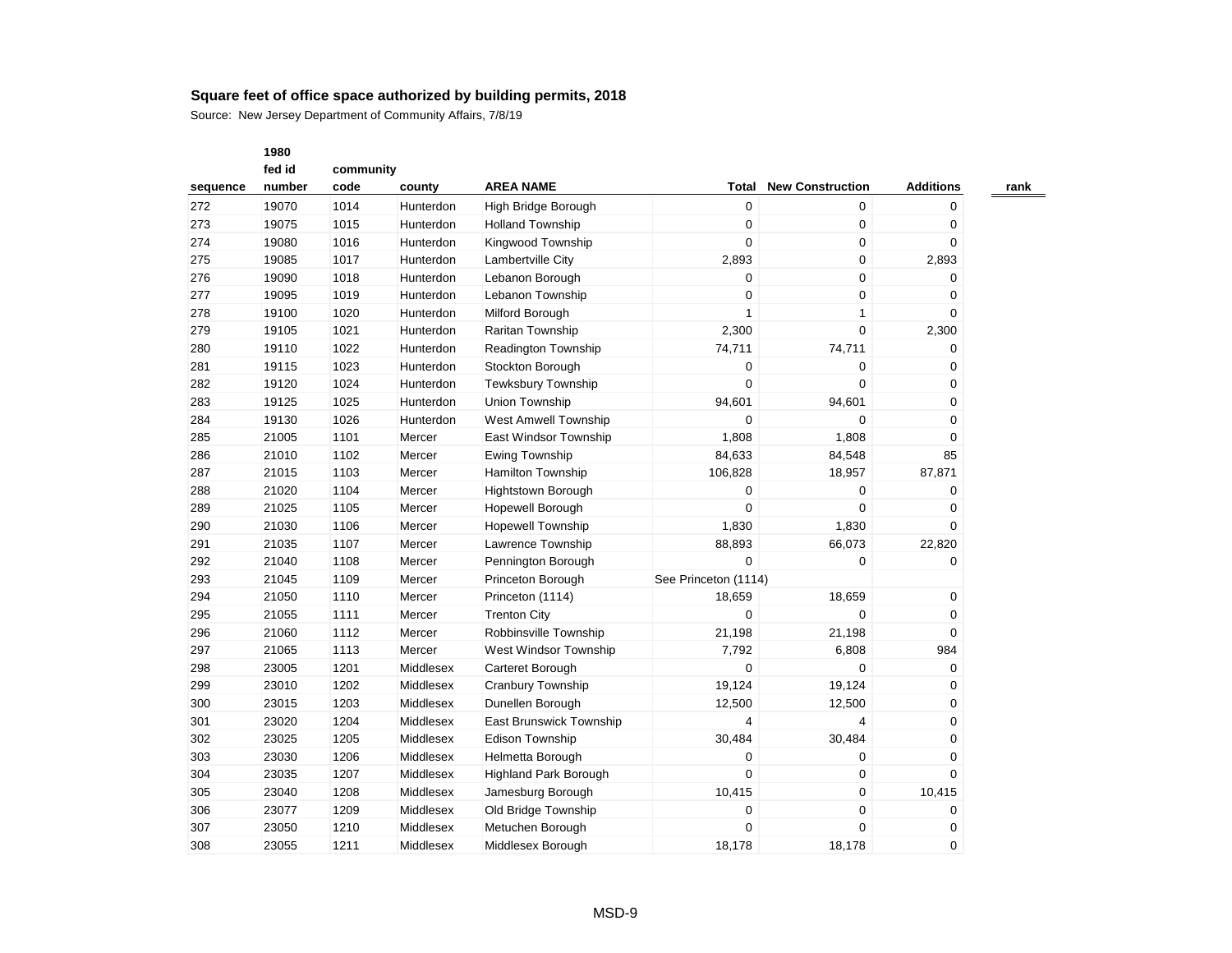|          | 1980   |           |           |                            |                      |                         |                  |  |  |  |
|----------|--------|-----------|-----------|----------------------------|----------------------|-------------------------|------------------|--|--|--|
|          | fed id | community |           |                            |                      |                         |                  |  |  |  |
| sequence | number | code      | county    | <b>AREA NAME</b>           | <b>Total</b>         | <b>New Construction</b> | <b>Additions</b> |  |  |  |
| 272      | 19070  | 1014      | Hunterdon | High Bridge Borough        | $\boldsymbol{0}$     | $\mathbf 0$             | 0                |  |  |  |
| 273      | 19075  | 1015      | Hunterdon | <b>Holland Township</b>    | $\pmb{0}$            | $\mathsf 0$             | 0                |  |  |  |
| 274      | 19080  | 1016      | Hunterdon | Kingwood Township          | $\mathbf 0$          | 0                       | 0                |  |  |  |
| 275      | 19085  | 1017      | Hunterdon | Lambertville City          | 2,893                | $\pmb{0}$               | 2,893            |  |  |  |
| 276      | 19090  | 1018      | Hunterdon | Lebanon Borough            | 0                    | $\mathbf 0$             | 0                |  |  |  |
| 277      | 19095  | 1019      | Hunterdon | Lebanon Township           | $\mathbf 0$          | $\mathbf 0$             | 0                |  |  |  |
| 278      | 19100  | 1020      | Hunterdon | Milford Borough            | $\mathbf{1}$         | $\mathbf{1}$            | 0                |  |  |  |
| 279      | 19105  | 1021      | Hunterdon | <b>Raritan Township</b>    | 2,300                | $\mathbf 0$             | 2,300            |  |  |  |
| 280      | 19110  | 1022      | Hunterdon | <b>Readington Township</b> | 74,711               | 74,711                  | 0                |  |  |  |
| 281      | 19115  | 1023      | Hunterdon | Stockton Borough           | $\pmb{0}$            | $\mathbf 0$             | 0                |  |  |  |
| 282      | 19120  | 1024      | Hunterdon | Tewksbury Township         | $\pmb{0}$            | $\boldsymbol{0}$        | 0                |  |  |  |
| 283      | 19125  | 1025      | Hunterdon | Union Township             | 94,601               | 94,601                  | 0                |  |  |  |
| 284      | 19130  | 1026      | Hunterdon | West Amwell Township       | $\mathbf 0$          | $\mathbf 0$             | 0                |  |  |  |
| 285      | 21005  | 1101      | Mercer    | East Windsor Township      | 1,808                | 1,808                   | 0                |  |  |  |
| 286      | 21010  | 1102      | Mercer    | Ewing Township             | 84,633               | 84,548                  | 85               |  |  |  |
| 287      | 21015  | 1103      | Mercer    | <b>Hamilton Township</b>   | 106,828              | 18,957                  | 87,871           |  |  |  |
| 288      | 21020  | 1104      | Mercer    | <b>Hightstown Borough</b>  | $\mathbf 0$          | $\mathbf 0$             | 0                |  |  |  |
| 289      | 21025  | 1105      | Mercer    | Hopewell Borough           | $\mathbf 0$          | 0                       | 0                |  |  |  |
| 290      | 21030  | 1106      | Mercer    | <b>Hopewell Township</b>   | 1,830                | 1,830                   | 0                |  |  |  |
| 291      | 21035  | 1107      | Mercer    | Lawrence Township          | 88,893               | 66,073                  | 22,820           |  |  |  |
| 292      | 21040  | 1108      | Mercer    | Pennington Borough         | $\mathbf 0$          | 0                       | 0                |  |  |  |
| 293      | 21045  | 1109      | Mercer    | Princeton Borough          | See Princeton (1114) |                         |                  |  |  |  |
| 294      | 21050  | 1110      | Mercer    | Princeton (1114)           | 18,659               | 18,659                  | 0                |  |  |  |
| 295      | 21055  | 1111      | Mercer    | <b>Trenton City</b>        | $\mathbf 0$          | $\boldsymbol{0}$        | 0                |  |  |  |
| 296      | 21060  | 1112      | Mercer    | Robbinsville Township      | 21,198               | 21,198                  | 0                |  |  |  |
| 297      | 21065  | 1113      | Mercer    | West Windsor Township      | 7,792                | 6,808                   | 984              |  |  |  |
| 298      | 23005  | 1201      | Middlesex | Carteret Borough           | $\mathbf 0$          | $\mathbf 0$             | 0                |  |  |  |
| 299      | 23010  | 1202      | Middlesex | <b>Cranbury Township</b>   | 19,124               | 19,124                  | 0                |  |  |  |
| 300      | 23015  | 1203      | Middlesex | Dunellen Borough           | 12,500               | 12,500                  | 0                |  |  |  |
| 301      | 23020  | 1204      | Middlesex | East Brunswick Township    | $\overline{4}$       | $\overline{4}$          | 0                |  |  |  |
| 302      | 23025  | 1205      | Middlesex | <b>Edison Township</b>     | 30,484               | 30,484                  | 0                |  |  |  |
| 303      | 23030  | 1206      | Middlesex | Helmetta Borough           | $\boldsymbol{0}$     | $\boldsymbol{0}$        | 0                |  |  |  |
| 304      | 23035  | 1207      | Middlesex | Highland Park Borough      | $\pmb{0}$            | $\boldsymbol{0}$        | 0                |  |  |  |
| 305      | 23040  | 1208      | Middlesex | Jamesburg Borough          | 10,415               | 0                       | 10,415           |  |  |  |
| 306      | 23077  | 1209      | Middlesex | Old Bridge Township        | $\pmb{0}$            | $\pmb{0}$               | 0                |  |  |  |
| 307      | 23050  | 1210      | Middlesex | Metuchen Borough           | $\mathbf 0$          | $\mathbf 0$             | 0                |  |  |  |
| 308      | 23055  | 1211      | Middlesex | Middlesex Borough          | 18,178               | 18.178                  | 0                |  |  |  |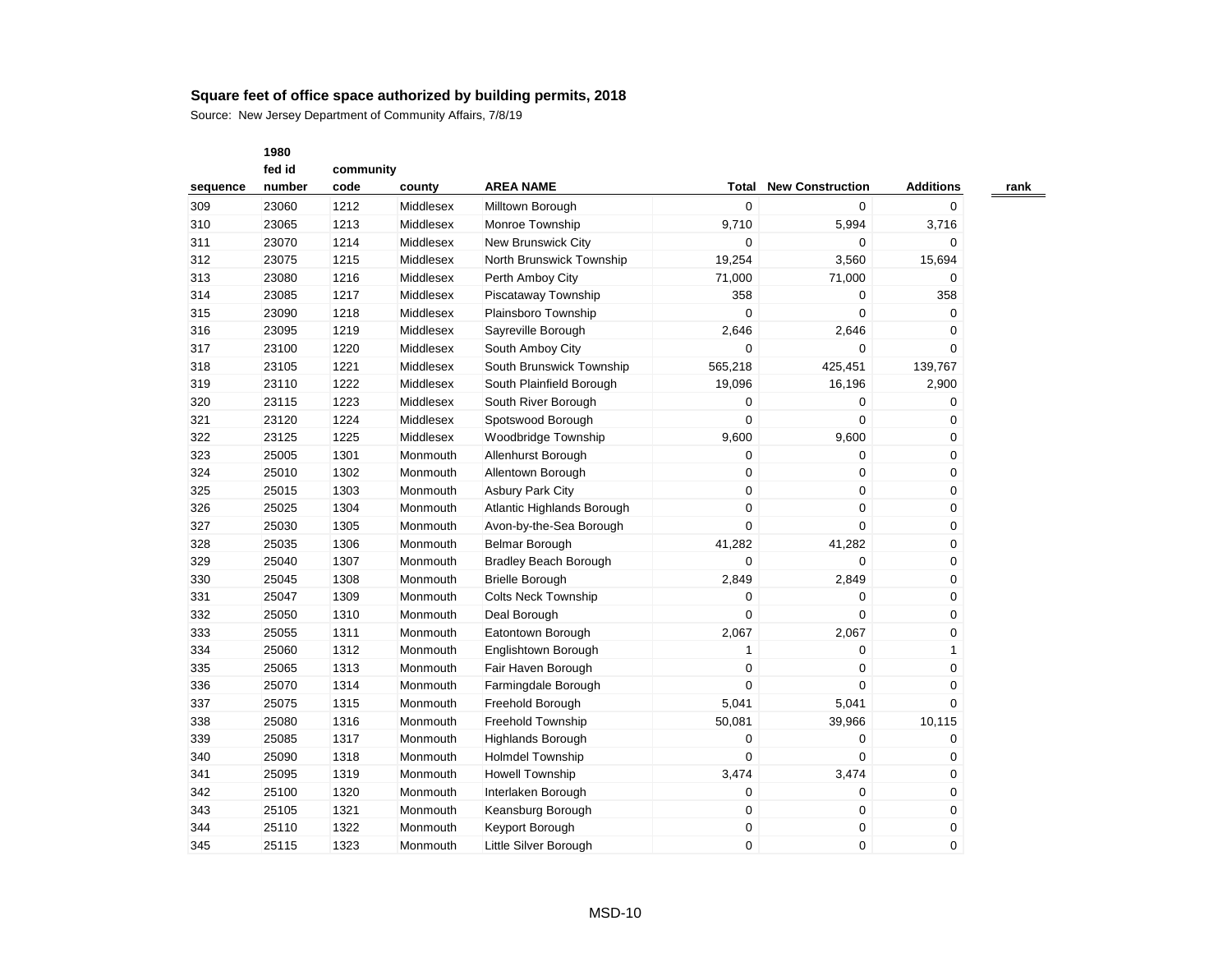Source: New Jersey Department of Community Affairs, 7/8/19

|          | fed id | community |           |                              |                  |                         |                  |
|----------|--------|-----------|-----------|------------------------------|------------------|-------------------------|------------------|
| sequence | number | code      | county    | <b>AREA NAME</b>             | Total            | <b>New Construction</b> | <b>Additions</b> |
| 309      | 23060  | 1212      | Middlesex | Milltown Borough             | $\mathbf 0$      | 0                       | 0                |
| 310      | 23065  | 1213      | Middlesex | Monroe Township              | 9,710            | 5,994                   | 3,716            |
| 311      | 23070  | 1214      | Middlesex | New Brunswick City           | 0                | 0                       | 0                |
| 312      | 23075  | 1215      | Middlesex | North Brunswick Township     | 19,254           | 3,560                   | 15,694           |
| 313      | 23080  | 1216      | Middlesex | Perth Amboy City             | 71,000           | 71,000                  | 0                |
| 314      | 23085  | 1217      | Middlesex | Piscataway Township          | 358              | 0                       | 358              |
| 315      | 23090  | 1218      | Middlesex | Plainsboro Township          | $\mathbf 0$      | 0                       | 0                |
| 316      | 23095  | 1219      | Middlesex | Sayreville Borough           | 2,646            | 2,646                   | 0                |
| 317      | 23100  | 1220      | Middlesex | South Amboy City             | $\mathbf 0$      | 0                       | 0                |
| 318      | 23105  | 1221      | Middlesex | South Brunswick Township     | 565,218          | 425,451                 | 139,767          |
| 319      | 23110  | 1222      | Middlesex | South Plainfield Borough     | 19,096           | 16,196                  | 2,900            |
| 320      | 23115  | 1223      | Middlesex | South River Borough          | 0                | 0                       | 0                |
| 321      | 23120  | 1224      | Middlesex | Spotswood Borough            | $\mathbf 0$      | $\mathbf 0$             | 0                |
| 322      | 23125  | 1225      | Middlesex | Woodbridge Township          | 9,600            | 9,600                   | 0                |
| 323      | 25005  | 1301      | Monmouth  | Allenhurst Borough           | $\mathbf 0$      | 0                       | 0                |
| 324      | 25010  | 1302      | Monmouth  | Allentown Borough            | $\boldsymbol{0}$ | $\mathbf 0$             | 0                |
| 325      | 25015  | 1303      | Monmouth  | <b>Asbury Park City</b>      | 0                | 0                       | 0                |
| 326      | 25025  | 1304      | Monmouth  | Atlantic Highlands Borough   | $\mathbf 0$      | 0                       | 0                |
| 327      | 25030  | 1305      | Monmouth  | Avon-by-the-Sea Borough      | $\mathbf 0$      | 0                       | 0                |
| 328      | 25035  | 1306      | Monmouth  | Belmar Borough               | 41,282           | 41,282                  | 0                |
| 329      | 25040  | 1307      | Monmouth  | <b>Bradley Beach Borough</b> | 0                | 0                       | 0                |
| 330      | 25045  | 1308      | Monmouth  | <b>Brielle Borough</b>       | 2,849            | 2,849                   | 0                |
| 331      | 25047  | 1309      | Monmouth  | <b>Colts Neck Township</b>   | 0                | 0                       | 0                |
| 332      | 25050  | 1310      | Monmouth  | Deal Borough                 | 0                | 0                       | 0                |
| 333      | 25055  | 1311      | Monmouth  | Eatontown Borough            | 2,067            | 2,067                   | 0                |
| 334      | 25060  | 1312      | Monmouth  | Englishtown Borough          | $\mathbf{1}$     | $\mathbf 0$             | $\mathbf{1}$     |
| 335      | 25065  | 1313      | Monmouth  | Fair Haven Borough           | $\boldsymbol{0}$ | $\mathbf 0$             | 0                |
| 336      | 25070  | 1314      | Monmouth  | Farmingdale Borough          | $\Omega$         | 0                       | 0                |
| 337      | 25075  | 1315      | Monmouth  | Freehold Borough             | 5,041            | 5,041                   | 0                |
| 338      | 25080  | 1316      | Monmouth  | Freehold Township            | 50,081           | 39,966                  | 10,115           |
| 339      | 25085  | 1317      | Monmouth  | <b>Highlands Borough</b>     | 0                | 0                       | 0                |
| 340      | 25090  | 1318      | Monmouth  | Holmdel Township             | $\mathbf 0$      | 0                       | 0                |
| 341      | 25095  | 1319      | Monmouth  | <b>Howell Township</b>       | 3,474            | 3,474                   | 0                |
| 342      | 25100  | 1320      | Monmouth  | Interlaken Borough           | 0                | 0                       | 0                |
| 343      | 25105  | 1321      | Monmouth  | Keansburg Borough            | 0                | 0                       | 0                |
| 344      | 25110  | 1322      | Monmouth  | Keyport Borough              | 0                | 0                       | 0                |
| 345      | 25115  | 1323      | Monmouth  | Little Silver Borough        | 0                | 0                       | 0                |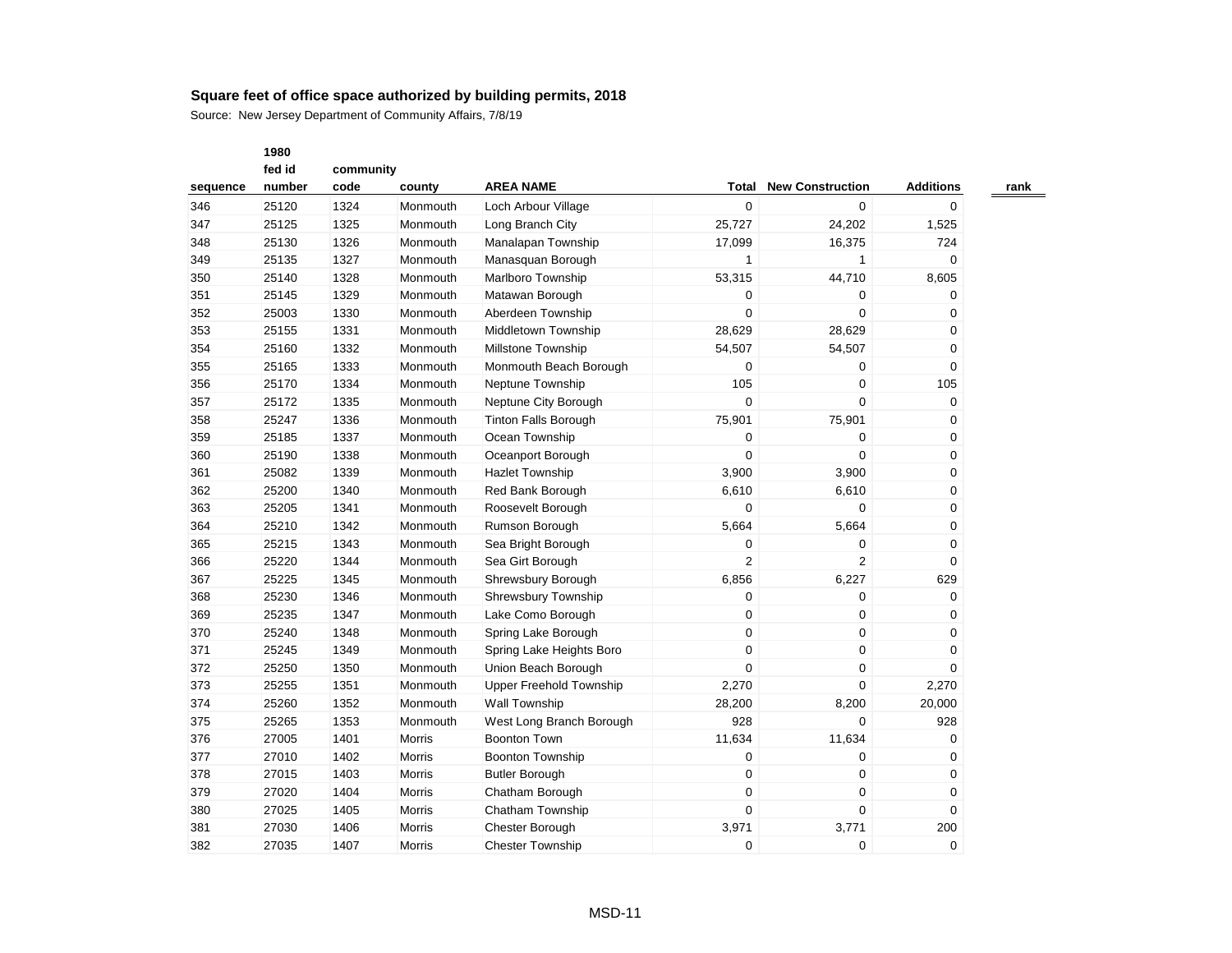Source: New Jersey Department of Community Affairs, 7/8/19

|          | fed id | community |               |                                |                |                         |                  |
|----------|--------|-----------|---------------|--------------------------------|----------------|-------------------------|------------------|
| sequence | number | code      | county        | <b>AREA NAME</b>               | Total          | <b>New Construction</b> | <b>Additions</b> |
| 346      | 25120  | 1324      | Monmouth      | Loch Arbour Village            | 0              | 0                       | 0                |
| 347      | 25125  | 1325      | Monmouth      | Long Branch City               | 25,727         | 24,202                  | 1,525            |
| 348      | 25130  | 1326      | Monmouth      | Manalapan Township             | 17,099         | 16,375                  | 724              |
| 349      | 25135  | 1327      | Monmouth      | Manasquan Borough              | $\mathbf{1}$   | $\mathbf{1}$            | 0                |
| 350      | 25140  | 1328      | Monmouth      | Marlboro Township              | 53,315         | 44,710                  | 8,605            |
| 351      | 25145  | 1329      | Monmouth      | Matawan Borough                | 0              | 0                       | 0                |
| 352      | 25003  | 1330      | Monmouth      | Aberdeen Township              | 0              | 0                       | 0                |
| 353      | 25155  | 1331      | Monmouth      | Middletown Township            | 28,629         | 28,629                  | 0                |
| 354      | 25160  | 1332      | Monmouth      | <b>Millstone Township</b>      | 54,507         | 54,507                  | 0                |
| 355      | 25165  | 1333      | Monmouth      | Monmouth Beach Borough         | 0              | 0                       | 0                |
| 356      | 25170  | 1334      | Monmouth      | Neptune Township               | 105            | 0                       | 105              |
| 357      | 25172  | 1335      | Monmouth      | Neptune City Borough           | 0              | 0                       | 0                |
| 358      | 25247  | 1336      | Monmouth      | <b>Tinton Falls Borough</b>    | 75,901         | 75,901                  | 0                |
| 359      | 25185  | 1337      | Monmouth      | Ocean Township                 | 0              | 0                       | 0                |
| 360      | 25190  | 1338      | Monmouth      | Oceanport Borough              | 0              | $\mathbf 0$             | 0                |
| 361      | 25082  | 1339      | Monmouth      | <b>Hazlet Township</b>         | 3,900          | 3,900                   | 0                |
| 362      | 25200  | 1340      | Monmouth      | Red Bank Borough               | 6,610          | 6,610                   | 0                |
| 363      | 25205  | 1341      | Monmouth      | Roosevelt Borough              | 0              | 0                       | 0                |
| 364      | 25210  | 1342      | Monmouth      | Rumson Borough                 | 5,664          | 5,664                   | 0                |
| 365      | 25215  | 1343      | Monmouth      | Sea Bright Borough             | $\mathbf 0$    | 0                       | 0                |
| 366      | 25220  | 1344      | Monmouth      | Sea Girt Borough               | $\overline{2}$ | 2                       | 0                |
| 367      | 25225  | 1345      | Monmouth      | Shrewsbury Borough             | 6,856          | 6,227                   | 629              |
| 368      | 25230  | 1346      | Monmouth      | Shrewsbury Township            | 0              | 0                       | $\mathbf 0$      |
| 369      | 25235  | 1347      | Monmouth      | Lake Como Borough              | 0              | 0                       | 0                |
| 370      | 25240  | 1348      | Monmouth      | Spring Lake Borough            | 0              | $\mathbf 0$             | 0                |
| 371      | 25245  | 1349      | Monmouth      | Spring Lake Heights Boro       | 0              | 0                       | 0                |
| 372      | 25250  | 1350      | Monmouth      | Union Beach Borough            | $\overline{0}$ | 0                       | 0                |
| 373      | 25255  | 1351      | Monmouth      | <b>Upper Freehold Township</b> | 2,270          | 0                       | 2,270            |
| 374      | 25260  | 1352      | Monmouth      | <b>Wall Township</b>           | 28,200         | 8,200                   | 20,000           |
| 375      | 25265  | 1353      | Monmouth      | West Long Branch Borough       | 928            | 0                       | 928              |
| 376      | 27005  | 1401      | <b>Morris</b> | <b>Boonton Town</b>            | 11,634         | 11,634                  | 0                |
| 377      | 27010  | 1402      | Morris        | Boonton Township               | 0              | 0                       | 0                |
| 378      | 27015  | 1403      | Morris        | <b>Butler Borough</b>          | 0              | 0                       | 0                |
| 379      | 27020  | 1404      | Morris        | Chatham Borough                | 0              | 0                       | 0                |
| 380      | 27025  | 1405      | Morris        | Chatham Township               | 0              | 0                       | 0                |
| 381      | 27030  | 1406      | Morris        | Chester Borough                | 3,971          | 3,771                   | 200              |
| 382      | 27035  | 1407      | Morris        | <b>Chester Township</b>        | 0              | 0                       | 0                |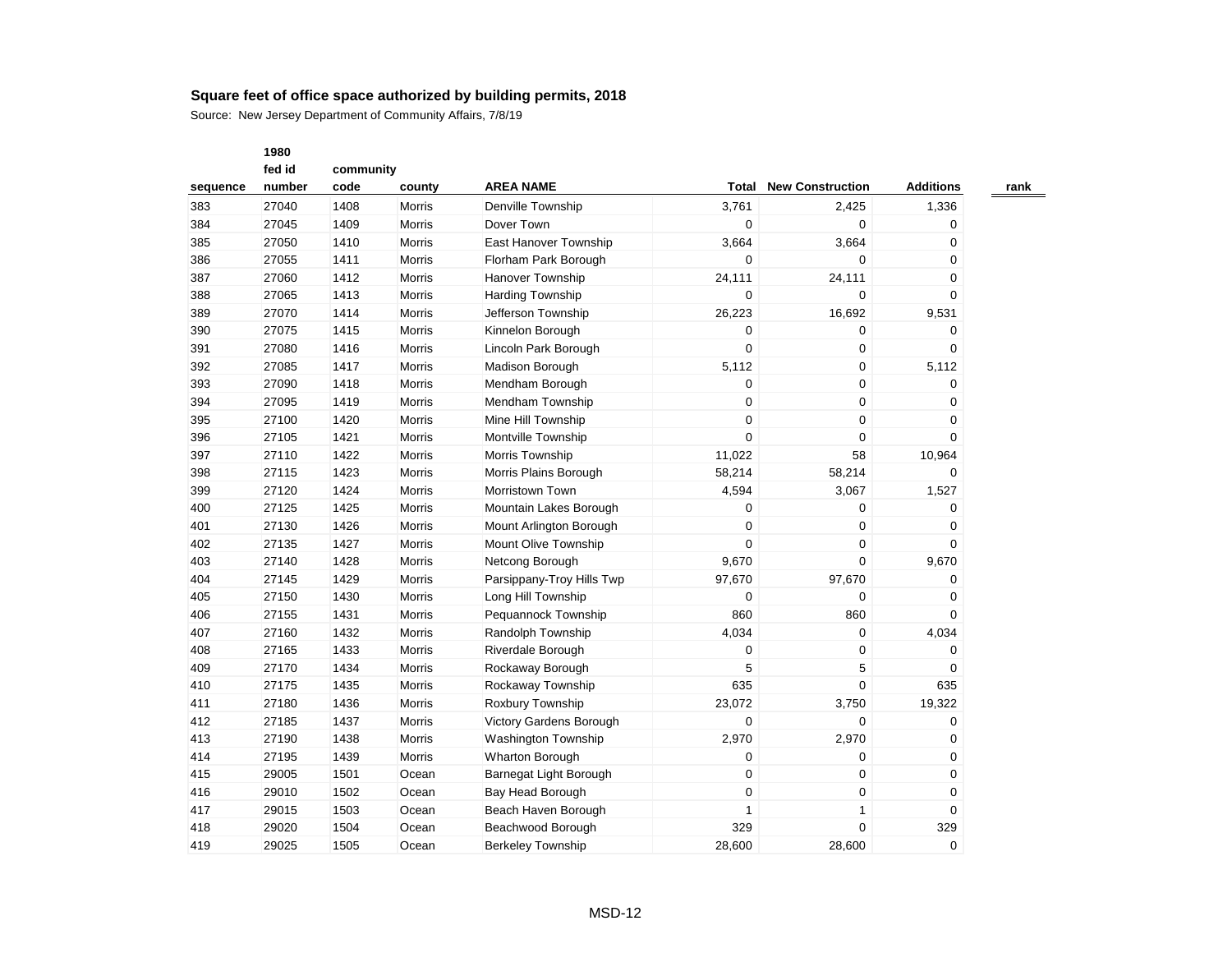|          | 1980   |           |               |                           |                  |                         |                  |
|----------|--------|-----------|---------------|---------------------------|------------------|-------------------------|------------------|
|          | fed id | community |               |                           |                  |                         |                  |
| sequence | number | code      | county        | <b>AREA NAME</b>          | Total            | <b>New Construction</b> | <b>Additions</b> |
| 383      | 27040  | 1408      | Morris        | Denville Township         | 3,761            | 2,425                   | 1,336            |
| 384      | 27045  | 1409      | Morris        | Dover Town                | $\mathbf 0$      | $\pmb{0}$               | $\mathbf 0$      |
| 385      | 27050  | 1410      | Morris        | East Hanover Township     | 3,664            | 3,664                   | $\mathbf 0$      |
| 386      | 27055  | 1411      | <b>Morris</b> | Florham Park Borough      | $\mathbf 0$      | $\Omega$                | $\Omega$         |
| 387      | 27060  | 1412      | Morris        | <b>Hanover Township</b>   | 24,111           | 24,111                  | $\mathbf 0$      |
| 388      | 27065  | 1413      | <b>Morris</b> | <b>Harding Township</b>   | $\mathbf 0$      | $\mathbf 0$             | $\mathbf 0$      |
| 389      | 27070  | 1414      | Morris        | Jefferson Township        | 26,223           | 16,692                  | 9,531            |
| 390      | 27075  | 1415      | Morris        | Kinnelon Borough          | $\mathbf 0$      | 0                       | 0                |
| 391      | 27080  | 1416      | Morris        | Lincoln Park Borough      | $\pmb{0}$        | $\pmb{0}$               | $\mathbf 0$      |
| 392      | 27085  | 1417      | <b>Morris</b> | Madison Borough           | 5,112            | $\mathbf 0$             | 5,112            |
| 393      | 27090  | 1418      | <b>Morris</b> | Mendham Borough           | $\mathbf 0$      | $\mathbf 0$             | $\mathbf 0$      |
| 394      | 27095  | 1419      | Morris        | Mendham Township          | $\mathbf 0$      | $\mathbf 0$             | $\mathbf 0$      |
| 395      | 27100  | 1420      | Morris        | Mine Hill Township        | $\mathbf 0$      | $\mathbf 0$             | $\mathbf 0$      |
| 396      | 27105  | 1421      | Morris        | Montville Township        | $\mathbf 0$      | 0                       | $\mathbf 0$      |
| 397      | 27110  | 1422      | Morris        | Morris Township           | 11,022           | 58                      | 10,964           |
| 398      | 27115  | 1423      | Morris        | Morris Plains Borough     | 58,214           | 58,214                  | $\Omega$         |
| 399      | 27120  | 1424      | Morris        | Morristown Town           | 4,594            | 3,067                   | 1,527            |
| 400      | 27125  | 1425      | <b>Morris</b> | Mountain Lakes Borough    | $\mathbf 0$      | 0                       | $\Omega$         |
| 401      | 27130  | 1426      | Morris        | Mount Arlington Borough   | $\mathbf 0$      | $\mathbf 0$             | $\Omega$         |
| 402      | 27135  | 1427      | Morris        | Mount Olive Township      | $\mathbf 0$      | $\mathbf 0$             | $\Omega$         |
| 403      | 27140  | 1428      | Morris        | Netcong Borough           | 9,670            | 0                       | 9,670            |
| 404      | 27145  | 1429      | Morris        | Parsippany-Troy Hills Twp | 97,670           | 97,670                  | 0                |
| 405      | 27150  | 1430      | Morris        | Long Hill Township        | $\boldsymbol{0}$ | 0                       | $\mathbf 0$      |
| 406      | 27155  | 1431      | Morris        | Pequannock Township       | 860              | 860                     | $\Omega$         |
| 407      | 27160  | 1432      | <b>Morris</b> | Randolph Township         | 4,034            | $\mathbf 0$             | 4,034            |
| 408      | 27165  | 1433      | <b>Morris</b> | Riverdale Borough         | $\mathbf 0$      | 0                       | 0                |
| 409      | 27170  | 1434      | Morris        | Rockaway Borough          | 5                | 5                       | $\mathbf 0$      |
| 410      | 27175  | 1435      | Morris        | Rockaway Township         | 635              | 0                       | 635              |
| 411      | 27180  | 1436      | Morris        | Roxbury Township          | 23,072           | 3,750                   | 19,322           |
| 412      | 27185  | 1437      | Morris        | Victory Gardens Borough   | $\mathbf 0$      | $\Omega$                | 0                |
| 413      | 27190  | 1438      | Morris        | Washington Township       | 2,970            | 2,970                   | 0                |
| 414      | 27195  | 1439      | Morris        | <b>Wharton Borough</b>    | $\mathbf 0$      | 0                       | 0                |
| 415      | 29005  | 1501      | Ocean         | Barnegat Light Borough    | $\boldsymbol{0}$ | $\pmb{0}$               | 0                |
| 416      | 29010  | 1502      | Ocean         | Bay Head Borough          | $\mathbf 0$      | $\mathbf 0$             | $\mathbf 0$      |
| 417      | 29015  | 1503      | Ocean         | Beach Haven Borough       | 1                | 1                       | $\mathbf 0$      |
| 418      | 29020  | 1504      | Ocean         | Beachwood Borough         | 329              | 0                       | 329              |
| 419      | 29025  | 1505      | Ocean         | <b>Berkeley Township</b>  | 28.600           | 28.600                  | $\Omega$         |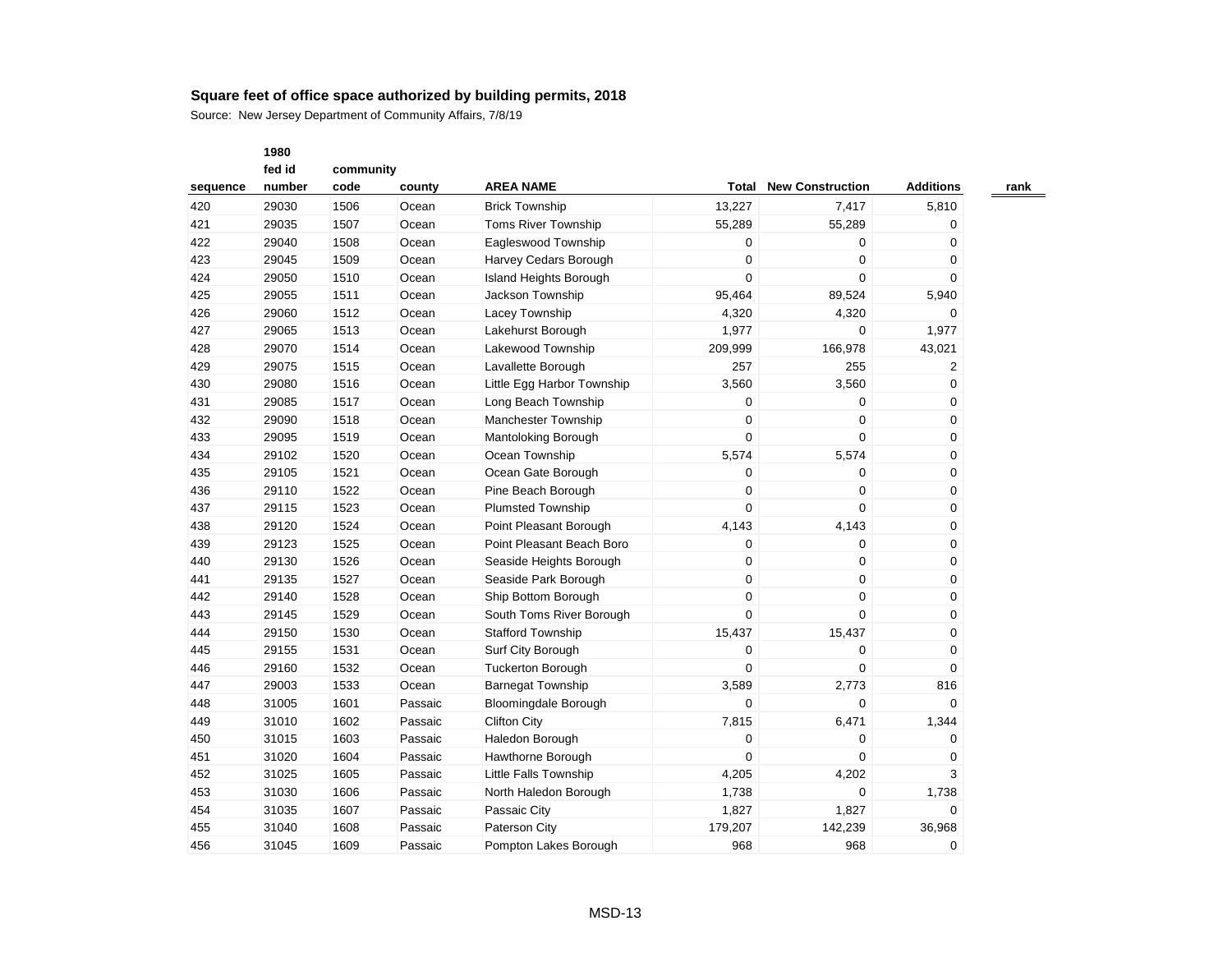Source: New Jersey Department of Community Affairs, 7/8/19

|          | fed id | community |         |                              |                  |                         |                                                                                                                                                                       |  |
|----------|--------|-----------|---------|------------------------------|------------------|-------------------------|-----------------------------------------------------------------------------------------------------------------------------------------------------------------------|--|
| sequence | number | code      | county  | <b>AREA NAME</b>             | Total            | <b>New Construction</b> | <b>Additions</b><br>5,810<br>0<br>0<br>0<br>$\Omega$<br>5,940<br>0<br>1,977<br>43,021<br>2<br>0<br>0<br>0<br>0<br>0<br>0<br>0<br>0<br>0<br>0<br>0<br>0<br>0<br>0<br>0 |  |
| 420      | 29030  | 1506      | Ocean   | <b>Brick Township</b>        | 13,227           | 7,417                   |                                                                                                                                                                       |  |
| 421      | 29035  | 1507      | Ocean   | <b>Toms River Township</b>   | 55,289           | 55,289                  |                                                                                                                                                                       |  |
| 422      | 29040  | 1508      | Ocean   | Eagleswood Township          | 0                | 0                       |                                                                                                                                                                       |  |
| 423      | 29045  | 1509      | Ocean   | Harvey Cedars Borough        | 0                | 0                       |                                                                                                                                                                       |  |
| 424      | 29050  | 1510      | Ocean   | Island Heights Borough       | 0                | $\Omega$                |                                                                                                                                                                       |  |
| 425      | 29055  | 1511      | Ocean   | Jackson Township             | 95,464           | 89,524                  |                                                                                                                                                                       |  |
| 426      | 29060  | 1512      | Ocean   | Lacey Township               | 4,320            | 4,320                   |                                                                                                                                                                       |  |
| 427      | 29065  | 1513      | Ocean   | Lakehurst Borough            | 1,977            | 0                       |                                                                                                                                                                       |  |
| 428      | 29070  | 1514      | Ocean   | Lakewood Township            | 209,999          | 166,978                 |                                                                                                                                                                       |  |
| 429      | 29075  | 1515      | Ocean   | Lavallette Borough           | 257              | 255                     |                                                                                                                                                                       |  |
| 430      | 29080  | 1516      | Ocean   | Little Egg Harbor Township   | 3,560            | 3,560                   |                                                                                                                                                                       |  |
| 431      | 29085  | 1517      | Ocean   | Long Beach Township          | 0                | 0                       |                                                                                                                                                                       |  |
| 432      | 29090  | 1518      | Ocean   | Manchester Township          | 0                | 0                       |                                                                                                                                                                       |  |
| 433      | 29095  | 1519      | Ocean   | Mantoloking Borough          | $\mathbf 0$      | 0                       |                                                                                                                                                                       |  |
| 434      | 29102  | 1520      | Ocean   | Ocean Township               | 5,574            | 5,574                   |                                                                                                                                                                       |  |
| 435      | 29105  | 1521      | Ocean   | Ocean Gate Borough           | 0                | 0                       |                                                                                                                                                                       |  |
| 436      | 29110  | 1522      | Ocean   | Pine Beach Borough           | $\mathbf 0$      | 0                       |                                                                                                                                                                       |  |
| 437      | 29115  | 1523      | Ocean   | <b>Plumsted Township</b>     | $\mathbf 0$      | 0                       |                                                                                                                                                                       |  |
| 438      | 29120  | 1524      | Ocean   | Point Pleasant Borough       | 4,143            | 4,143                   |                                                                                                                                                                       |  |
| 439      | 29123  | 1525      | Ocean   | Point Pleasant Beach Boro    | $\mathbf 0$      | 0                       |                                                                                                                                                                       |  |
| 440      | 29130  | 1526      | Ocean   | Seaside Heights Borough      | $\mathbf 0$      | 0                       |                                                                                                                                                                       |  |
| 441      | 29135  | 1527      | Ocean   | Seaside Park Borough         | 0                | 0                       |                                                                                                                                                                       |  |
| 442      | 29140  | 1528      | Ocean   | Ship Bottom Borough          | $\mathbf 0$      | 0                       |                                                                                                                                                                       |  |
| 443      | 29145  | 1529      | Ocean   | South Toms River Borough     | $\mathbf 0$      | 0                       |                                                                                                                                                                       |  |
| 444      | 29150  | 1530      | Ocean   | <b>Stafford Township</b>     | 15,437           | 15,437                  |                                                                                                                                                                       |  |
| 445      | 29155  | 1531      | Ocean   | Surf City Borough            | 0                | 0                       | 0                                                                                                                                                                     |  |
| 446      | 29160  | 1532      | Ocean   | <b>Tuckerton Borough</b>     | $\mathbf 0$      | 0                       | $\mathbf 0$                                                                                                                                                           |  |
| 447      | 29003  | 1533      | Ocean   | <b>Barnegat Township</b>     | 3,589            | 2,773                   | 816                                                                                                                                                                   |  |
| 448      | 31005  | 1601      | Passaic | <b>Bloomingdale Borough</b>  | $\Omega$         | $\Omega$                | $\Omega$                                                                                                                                                              |  |
| 449      | 31010  | 1602      | Passaic | <b>Clifton City</b>          | 7,815            | 6,471                   | 1,344                                                                                                                                                                 |  |
| 450      | 31015  | 1603      | Passaic | Haledon Borough              | $\boldsymbol{0}$ | 0                       | 0                                                                                                                                                                     |  |
| 451      | 31020  | 1604      | Passaic | Hawthorne Borough            | $\Omega$         | $\Omega$                | 0                                                                                                                                                                     |  |
| 452      | 31025  | 1605      | Passaic | <b>Little Falls Township</b> | 4,205            | 4,202                   | 3                                                                                                                                                                     |  |
| 453      | 31030  | 1606      | Passaic | North Haledon Borough        | 1,738            | 0                       | 1,738                                                                                                                                                                 |  |
| 454      | 31035  | 1607      | Passaic | Passaic City                 | 1,827            | 1,827                   | 0                                                                                                                                                                     |  |
| 455      | 31040  | 1608      | Passaic | Paterson City                | 179,207          | 142,239                 | 36,968                                                                                                                                                                |  |
| 456      | 31045  | 1609      | Passaic | Pompton Lakes Borough        | 968              | 968                     | 0                                                                                                                                                                     |  |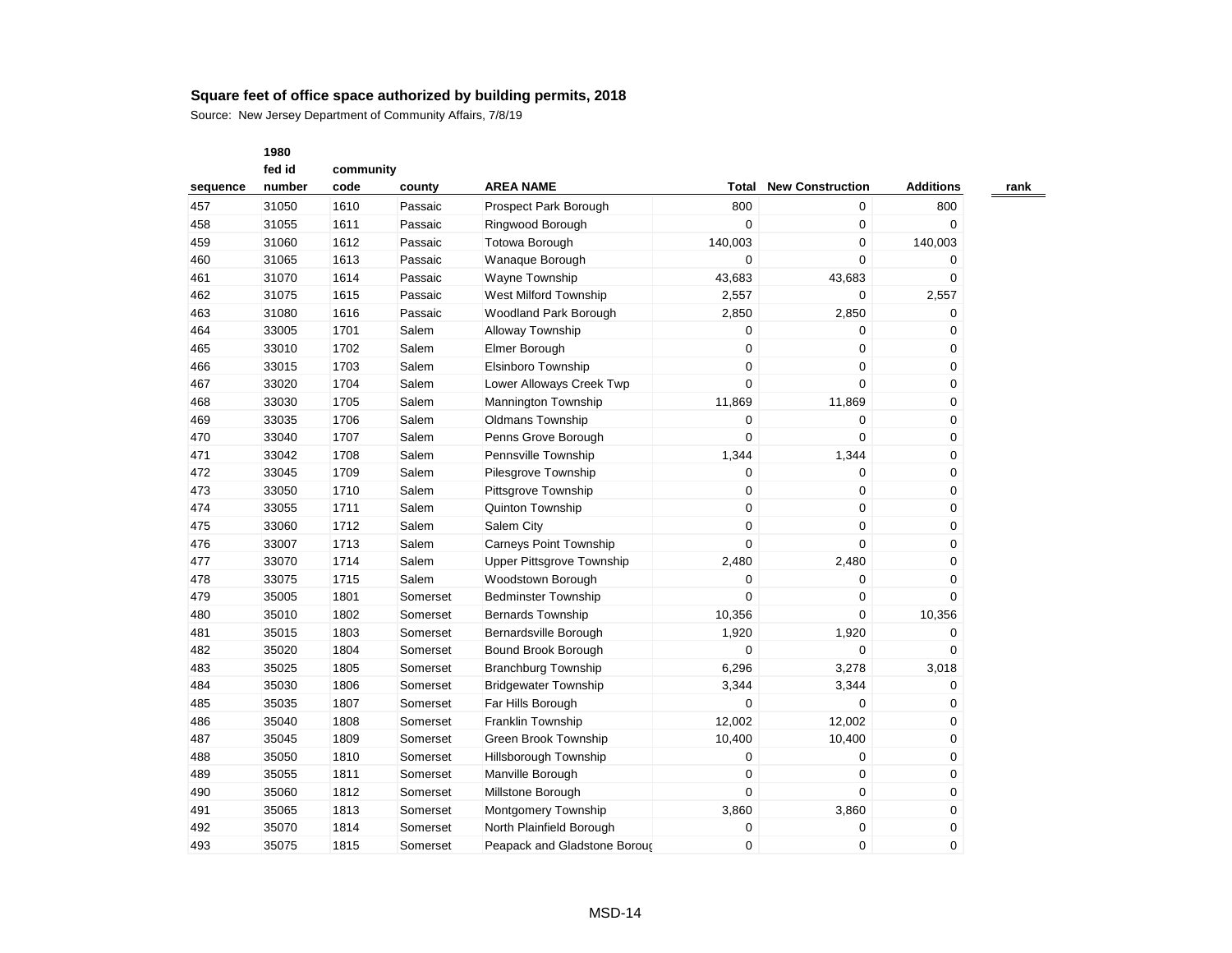|          | 1980   |           |          |                                  |                  |                         |                  |
|----------|--------|-----------|----------|----------------------------------|------------------|-------------------------|------------------|
|          | fed id | community |          |                                  |                  |                         |                  |
| sequence | number | code      | county   | <b>AREA NAME</b>                 | Total            | <b>New Construction</b> | <b>Additions</b> |
| 457      | 31050  | 1610      | Passaic  | Prospect Park Borough            | 800              | 0                       | 800              |
| 458      | 31055  | 1611      | Passaic  | Ringwood Borough                 | $\mathbf 0$      | 0                       | 0                |
| 459      | 31060  | 1612      | Passaic  | <b>Totowa Borough</b>            | 140,003          | 0                       | 140,003          |
| 460      | 31065  | 1613      | Passaic  | Wanaque Borough                  | 0                | 0                       | 0                |
| 461      | 31070  | 1614      | Passaic  | <b>Wayne Township</b>            | 43,683           | 43,683                  | 0                |
| 462      | 31075  | 1615      | Passaic  | West Milford Township            | 2,557            | 0                       | 2,557            |
| 463      | 31080  | 1616      | Passaic  | Woodland Park Borough            | 2,850            | 2,850                   | 0                |
| 464      | 33005  | 1701      | Salem    | Alloway Township                 | $\mathbf 0$      | 0                       | 0                |
| 465      | 33010  | 1702      | Salem    | Elmer Borough                    | $\mathbf 0$      | $\mathbf 0$             | 0                |
| 466      | 33015  | 1703      | Salem    | Elsinboro Township               | $\mathbf 0$      | 0                       | 0                |
| 467      | 33020  | 1704      | Salem    | Lower Alloways Creek Twp         | $\mathbf 0$      | 0                       | 0                |
| 468      | 33030  | 1705      | Salem    | Mannington Township              | 11,869           | 11,869                  | 0                |
| 469      | 33035  | 1706      | Salem    | Oldmans Township                 | $\pmb{0}$        | 0                       | 0                |
| 470      | 33040  | 1707      | Salem    | Penns Grove Borough              | $\mathbf 0$      | 0                       | 0                |
| 471      | 33042  | 1708      | Salem    | Pennsville Township              | 1,344            | 1,344                   | 0                |
| 472      | 33045  | 1709      | Salem    | Pilesgrove Township              | $\mathbf 0$      | 0                       | 0                |
| 473      | 33050  | 1710      | Salem    | Pittsgrove Township              | $\mathbf 0$      | 0                       | 0                |
| 474      | 33055  | 1711      | Salem    | Quinton Township                 | $\mathbf 0$      | 0                       | 0                |
| 475      | 33060  | 1712      | Salem    | Salem City                       | $\mathbf 0$      | 0                       | 0                |
| 476      | 33007  | 1713      | Salem    | <b>Carneys Point Township</b>    | 0                | 0                       | 0                |
| 477      | 33070  | 1714      | Salem    | <b>Upper Pittsgrove Township</b> | 2,480            | 2,480                   | 0                |
| 478      | 33075  | 1715      | Salem    | Woodstown Borough                | $\mathbf 0$      | $\mathbf 0$             | 0                |
| 479      | 35005  | 1801      | Somerset | <b>Bedminster Township</b>       | $\mathbf 0$      | 0                       | 0                |
| 480      | 35010  | 1802      | Somerset | <b>Bernards Township</b>         | 10,356           | 0                       | 10,356           |
| 481      | 35015  | 1803      | Somerset | Bernardsville Borough            | 1,920            | 1,920                   | 0                |
| 482      | 35020  | 1804      | Somerset | Bound Brook Borough              | $\mathbf 0$      | $\Omega$                | $\Omega$         |
| 483      | 35025  | 1805      | Somerset | <b>Branchburg Township</b>       | 6,296            | 3,278                   | 3,018            |
| 484      | 35030  | 1806      | Somerset | <b>Bridgewater Township</b>      | 3,344            | 3,344                   | 0                |
| 485      | 35035  | 1807      | Somerset | Far Hills Borough                | $\mathbf 0$      | $\mathbf 0$             | 0                |
| 486      | 35040  | 1808      | Somerset | Franklin Township                | 12,002           | 12,002                  | 0                |
| 487      | 35045  | 1809      | Somerset | Green Brook Township             | 10,400           | 10,400                  | 0                |
| 488      | 35050  | 1810      | Somerset | Hillsborough Township            | $\mathbf 0$      | 0                       | 0                |
| 489      | 35055  | 1811      | Somerset | Manville Borough                 | $\boldsymbol{0}$ | 0                       | 0                |
| 490      | 35060  | 1812      | Somerset | Millstone Borough                | $\mathbf 0$      | $\Omega$                | 0                |
| 491      | 35065  | 1813      | Somerset | Montgomery Township              | 3,860            | 3,860                   | 0                |
| 492      | 35070  | 1814      | Somerset | North Plainfield Borough         | 0                | 0                       | 0                |
| 493      | 35075  | 1815      | Somerset | Peapack and Gladstone Boroud     | $\mathbf 0$      | 0                       | $\Omega$         |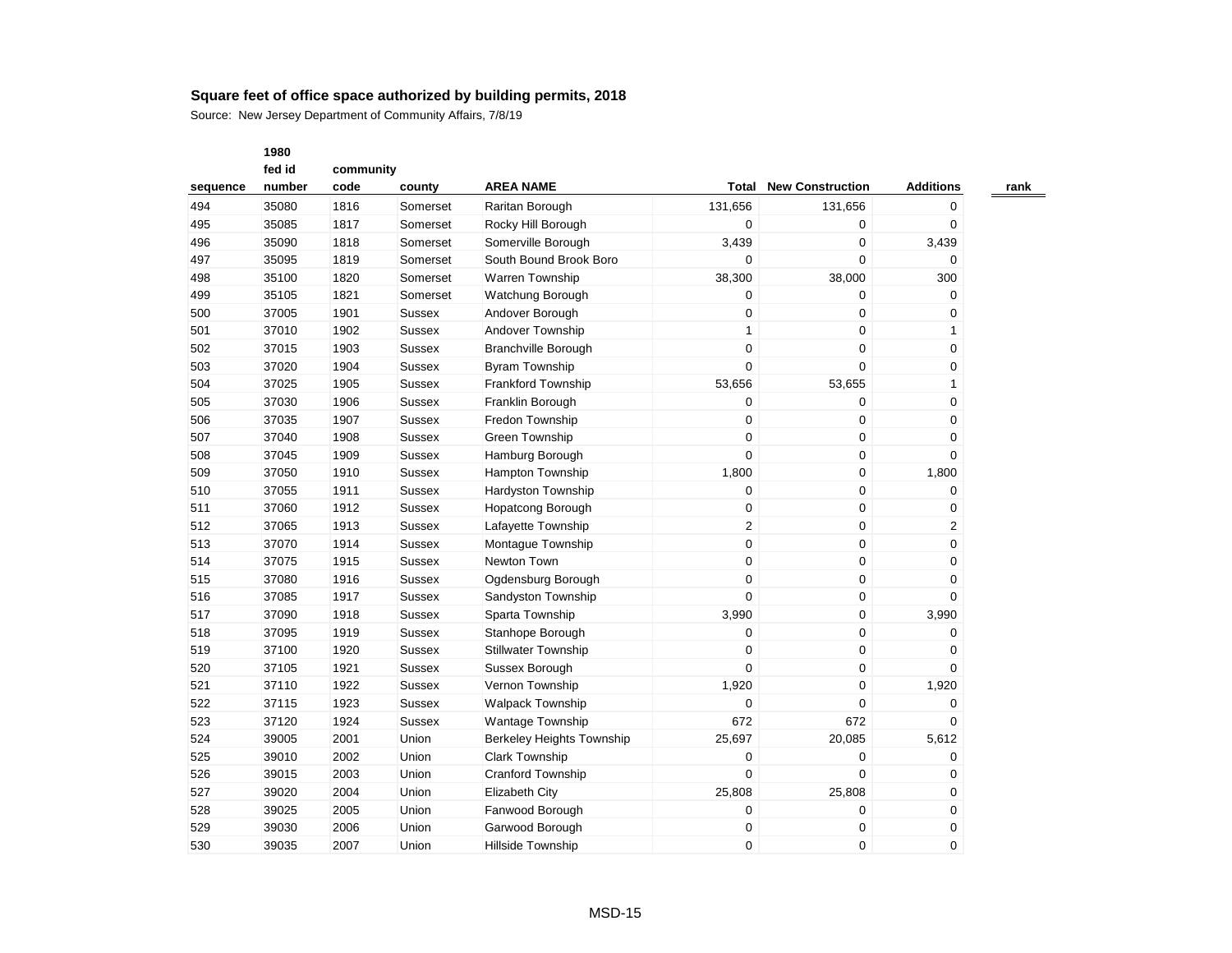Source: New Jersey Department of Community Affairs, 7/8/19

|          | fed id | community |               |                                  |                |                         |                  |  |
|----------|--------|-----------|---------------|----------------------------------|----------------|-------------------------|------------------|--|
| sequence | number | code      | county        | <b>AREA NAME</b>                 | Total          | <b>New Construction</b> | <b>Additions</b> |  |
| 494      | 35080  | 1816      | Somerset      | Raritan Borough                  | 131,656        | 131,656                 | 0                |  |
| 495      | 35085  | 1817      | Somerset      | Rocky Hill Borough               | $\mathbf 0$    | 0                       | $\mathbf 0$      |  |
| 496      | 35090  | 1818      | Somerset      | Somerville Borough               | 3,439          | 0                       | 3,439            |  |
| 497      | 35095  | 1819      | Somerset      | South Bound Brook Boro           | $\mathbf 0$    | 0                       | 0                |  |
| 498      | 35100  | 1820      | Somerset      | Warren Township                  | 38,300         | 38,000                  | 300              |  |
| 499      | 35105  | 1821      | Somerset      | Watchung Borough                 | $\pmb{0}$      | $\pmb{0}$               | 0                |  |
| 500      | 37005  | 1901      | <b>Sussex</b> | Andover Borough                  | 0              | 0                       | 0                |  |
| 501      | 37010  | 1902      | <b>Sussex</b> | Andover Township                 | 1              | 0                       | 1                |  |
| 502      | 37015  | 1903      | <b>Sussex</b> | <b>Branchville Borough</b>       | $\mathbf 0$    | 0                       | 0                |  |
| 503      | 37020  | 1904      | <b>Sussex</b> | <b>Byram Township</b>            | $\overline{0}$ | 0                       | 0                |  |
| 504      | 37025  | 1905      | <b>Sussex</b> | Frankford Township               | 53,656         | 53,655                  | 1                |  |
| 505      | 37030  | 1906      | <b>Sussex</b> | Franklin Borough                 | $\pmb{0}$      | 0                       | 0                |  |
| 506      | 37035  | 1907      | <b>Sussex</b> | Fredon Township                  | $\pmb{0}$      | 0                       | 0                |  |
| 507      | 37040  | 1908      | <b>Sussex</b> | <b>Green Township</b>            | $\pmb{0}$      | 0                       | 0                |  |
| 508      | 37045  | 1909      | <b>Sussex</b> | Hamburg Borough                  | $\overline{0}$ | 0                       | 0                |  |
| 509      | 37050  | 1910      | <b>Sussex</b> | <b>Hampton Township</b>          | 1,800          | 0                       | 1,800            |  |
| 510      | 37055  | 1911      | <b>Sussex</b> | <b>Hardyston Township</b>        | $\mathbf 0$    | 0                       | 0                |  |
| 511      | 37060  | 1912      | <b>Sussex</b> | <b>Hopatcong Borough</b>         | $\pmb{0}$      | 0                       | 0                |  |
| 512      | 37065  | 1913      | Sussex        | Lafayette Township               | 2              | 0                       | 2                |  |
| 513      | 37070  | 1914      | <b>Sussex</b> | Montague Township                | $\mathbf 0$    | 0                       | 0                |  |
| 514      | 37075  | 1915      | <b>Sussex</b> | Newton Town                      | $\pmb{0}$      | 0                       | 0                |  |
| 515      | 37080  | 1916      | <b>Sussex</b> | Ogdensburg Borough               | $\mathbf 0$    | 0                       | 0                |  |
| 516      | 37085  | 1917      | <b>Sussex</b> | Sandyston Township               | 0              | 0                       | 0                |  |
| 517      | 37090  | 1918      | Sussex        | Sparta Township                  | 3,990          | 0                       | 3,990            |  |
| 518      | 37095  | 1919      | <b>Sussex</b> | Stanhope Borough                 | 0              | $\pmb{0}$               | 0                |  |
| 519      | 37100  | 1920      | <b>Sussex</b> | <b>Stillwater Township</b>       | $\pmb{0}$      | $\pmb{0}$               | 0                |  |
| 520      | 37105  | 1921      | <b>Sussex</b> | Sussex Borough                   | $\Omega$       | 0                       | 0                |  |
| 521      | 37110  | 1922      | <b>Sussex</b> | Vernon Township                  | 1,920          | 0                       | 1,920            |  |
| 522      | 37115  | 1923      | <b>Sussex</b> | <b>Walpack Township</b>          | $\overline{0}$ | $\mathbf 0$             | 0                |  |
| 523      | 37120  | 1924      | Sussex        | <b>Wantage Township</b>          | 672            | 672                     | 0                |  |
| 524      | 39005  | 2001      | Union         | <b>Berkeley Heights Township</b> | 25,697         | 20,085                  | 5,612            |  |
| 525      | 39010  | 2002      | Union         | <b>Clark Township</b>            | $\pmb{0}$      | 0                       | 0                |  |
| 526      | 39015  | 2003      | Union         | Cranford Township                | 0              | 0                       | 0                |  |
| 527      | 39020  | 2004      | Union         | <b>Elizabeth City</b>            | 25,808         | 25,808                  | 0                |  |
| 528      | 39025  | 2005      | Union         | Fanwood Borough                  | $\mathbf 0$    | 0                       | 0                |  |
| 529      | 39030  | 2006      | Union         | Garwood Borough                  | $\mathbf 0$    | 0                       | 0                |  |
| 530      | 39035  | 2007      | Union         | <b>Hillside Township</b>         | 0              | 0                       | $\mathbf 0$      |  |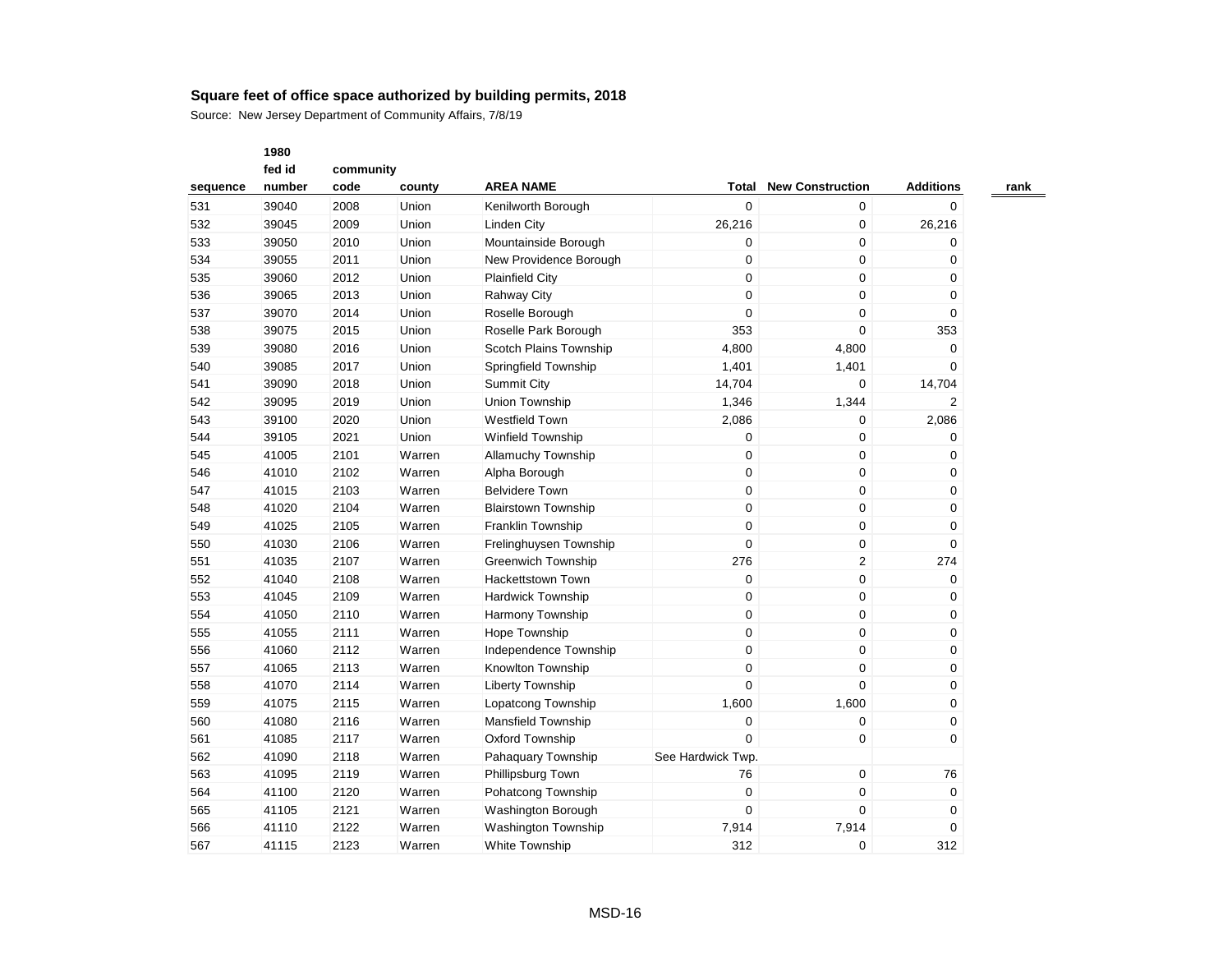|          | 1980   |           |        |                            |                   |                         |                  |
|----------|--------|-----------|--------|----------------------------|-------------------|-------------------------|------------------|
|          | fed id | community |        |                            |                   |                         |                  |
| sequence | number | code      | county | <b>AREA NAME</b>           | <b>Total</b>      | <b>New Construction</b> | <b>Additions</b> |
| 531      | 39040  | 2008      | Union  | Kenilworth Borough         | $\mathbf 0$       | 0                       | 0                |
| 532      | 39045  | 2009      | Union  | <b>Linden City</b>         | 26,216            | 0                       | 26,216           |
| 533      | 39050  | 2010      | Union  | Mountainside Borough       | 0                 | 0                       | 0                |
| 534      | 39055  | 2011      | Union  | New Providence Borough     | 0                 | 0                       | $\Omega$         |
| 535      | 39060  | 2012      | Union  | <b>Plainfield City</b>     | $\boldsymbol{0}$  | 0                       | 0                |
| 536      | 39065  | 2013      | Union  | <b>Rahway City</b>         | $\mathbf 0$       | 0                       | 0                |
| 537      | 39070  | 2014      | Union  | Roselle Borough            | $\mathbf 0$       | 0                       | $\mathbf 0$      |
| 538      | 39075  | 2015      | Union  | Roselle Park Borough       | 353               | 0                       | 353              |
| 539      | 39080  | 2016      | Union  | Scotch Plains Township     | 4,800             | 4,800                   | 0                |
| 540      | 39085  | 2017      | Union  | Springfield Township       | 1,401             | 1,401                   | 0                |
| 541      | 39090  | 2018      | Union  | <b>Summit City</b>         | 14,704            | 0                       | 14,704           |
| 542      | 39095  | 2019      | Union  | Union Township             | 1,346             | 1,344                   | 2                |
| 543      | 39100  | 2020      | Union  | <b>Westfield Town</b>      | 2,086             | 0                       | 2,086            |
| 544      | 39105  | 2021      | Union  | <b>Winfield Township</b>   | 0                 | 0                       | 0                |
| 545      | 41005  | 2101      | Warren | <b>Allamuchy Township</b>  | $\mathbf 0$       | 0                       | 0                |
| 546      | 41010  | 2102      | Warren | Alpha Borough              | $\mathbf 0$       | 0                       | 0                |
| 547      | 41015  | 2103      | Warren | <b>Belvidere Town</b>      | $\mathbf 0$       | 0                       | $\mathbf 0$      |
| 548      | 41020  | 2104      | Warren | <b>Blairstown Township</b> | $\pmb{0}$         | 0                       | $\mathbf 0$      |
| 549      | 41025  | 2105      | Warren | Franklin Township          | $\mathbf 0$       | 0                       | 0                |
| 550      | 41030  | 2106      | Warren | Frelinghuysen Township     | $\boldsymbol{0}$  | 0                       | 0                |
| 551      | 41035  | 2107      | Warren | <b>Greenwich Township</b>  | 276               | 2                       | 274              |
| 552      | 41040  | 2108      | Warren | <b>Hackettstown Town</b>   | $\mathbf 0$       | 0                       | $\mathbf 0$      |
| 553      | 41045  | 2109      | Warren | <b>Hardwick Township</b>   | $\boldsymbol{0}$  | 0                       | 0                |
| 554      | 41050  | 2110      | Warren | <b>Harmony Township</b>    | $\mathbf 0$       | 0                       | 0                |
| 555      | 41055  | 2111      | Warren | Hope Township              | $\mathbf 0$       | 0                       | 0                |
| 556      | 41060  | 2112      | Warren | Independence Township      | $\mathbf 0$       | 0                       | 0                |
| 557      | 41065  | 2113      | Warren | Knowlton Township          | $\mathbf 0$       | 0                       | $\mathbf 0$      |
| 558      | 41070  | 2114      | Warren | Liberty Township           | $\mathbf 0$       | 0                       | $\mathbf 0$      |
| 559      | 41075  | 2115      | Warren | Lopatcong Township         | 1,600             | 1,600                   | 0                |
| 560      | 41080  | 2116      | Warren | Mansfield Township         | $\boldsymbol{0}$  | 0                       | 0                |
| 561      | 41085  | 2117      | Warren | Oxford Township            | $\Omega$          | 0                       | 0                |
| 562      | 41090  | 2118      | Warren | Pahaquary Township         | See Hardwick Twp. |                         |                  |
| 563      | 41095  | 2119      | Warren | Phillipsburg Town          | 76                | 0                       | 76               |
| 564      | 41100  | 2120      | Warren | Pohatcong Township         | $\mathbf 0$       | 0                       | $\mathbf 0$      |
| 565      | 41105  | 2121      | Warren | Washington Borough         | $\mathbf 0$       | 0                       | 0                |
| 566      | 41110  | 2122      | Warren | <b>Washington Township</b> | 7,914             | 7,914                   | 0                |
| 567      | 41115  | 2123      | Warren | White Township             | 312               | $\Omega$                | 312              |